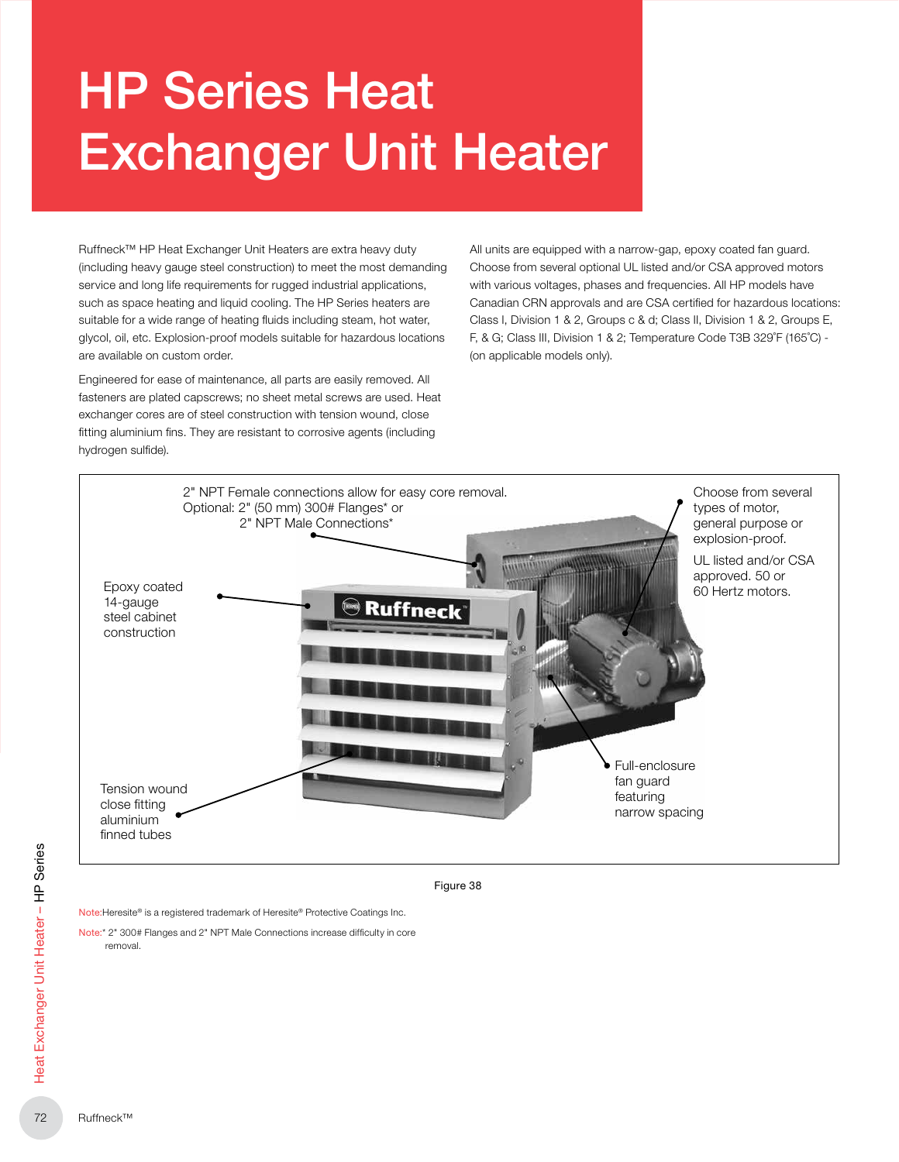# HP Series Heat Exchanger Unit Heater

Ruffneck™ HP Heat Exchanger Unit Heaters are extra heavy duty (including heavy gauge steel construction) to meet the most demanding service and long life requirements for rugged industrial applications, such as space heating and liquid cooling. The HP Series heaters are suitable for a wide range of heating fluids including steam, hot water, glycol, oil, etc. Explosion-proof models suitable for hazardous locations are available on custom order.

Engineered for ease of maintenance, all parts are easily removed. All fasteners are plated capscrews; no sheet metal screws are used. Heat exchanger cores are of steel construction with tension wound, close fitting aluminium fins. They are resistant to corrosive agents (including hydrogen sulfide).

All units are equipped with a narrow-gap, epoxy coated fan guard. Choose from several optional UL listed and/or CSA approved motors with various voltages, phases and frequencies. All HP models have Canadian CRN approvals and are CSA certified for hazardous locations: Class I, Division 1 & 2, Groups c & d; Class II, Division 1 & 2, Groups E, F, & G; Class III, Division 1 & 2; Temperature Code T3B 329˚F (165˚C) -(on applicable models only).



Figure 38

Note: Heresite® is a registered trademark of Heresite® Protective Coatings Inc.

Note:\* 2" 300# Flanges and 2" NPT Male Connections increase difficulty in core removal.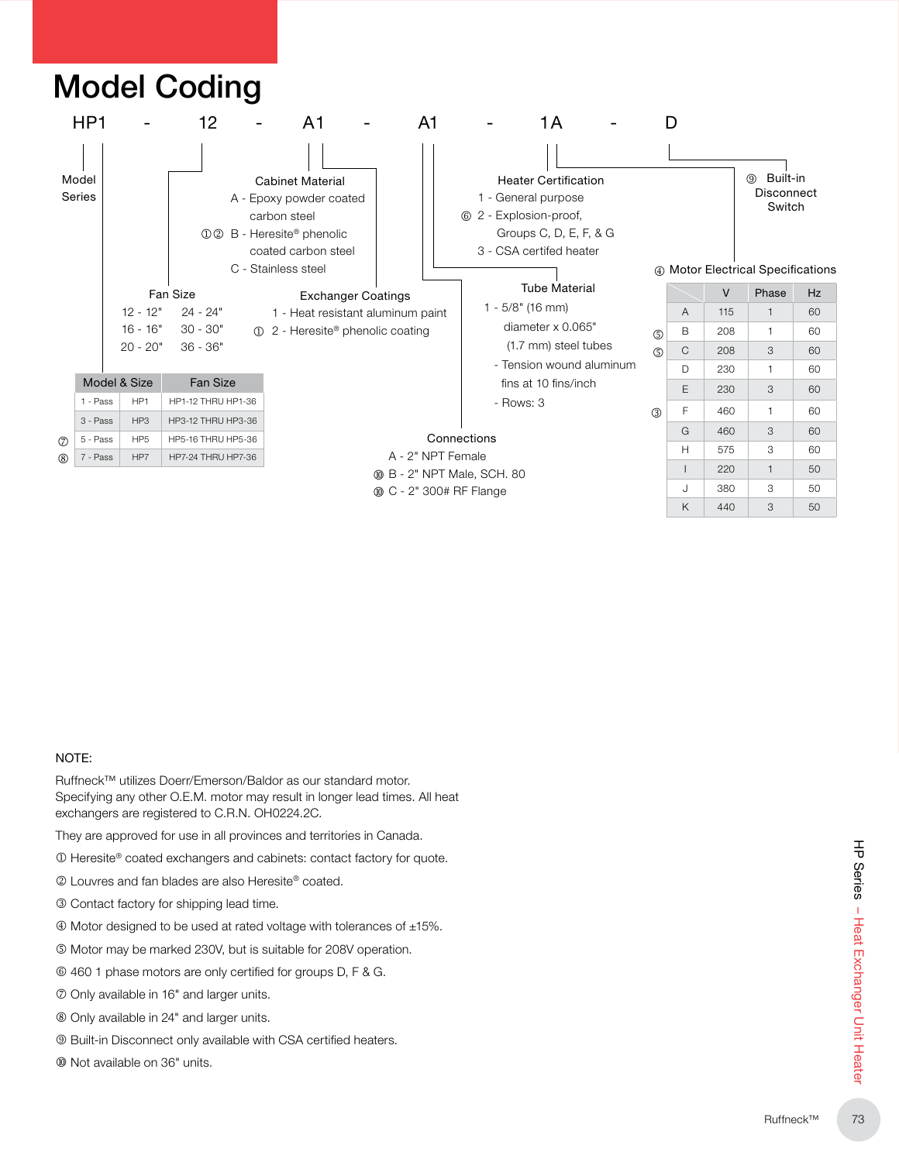

#### NOTE:

Ruffneck™ utilizes Doerr/Emerson/Baldor as our standard motor. Specifying any other O.E.M. motor may result in longer lead times. All heat exchangers are registered to C.R.N. OH0224.2C.

They are approved for use in all provinces and territories in Canada.

- $\circledR$  Heresite® coated exchangers and cabinets: contact factory for quote.
- 2 Louvres and fan blades are also Heresite® coated.
- **3** Contact factory for shipping lead time.
- Motor designed to be used at rated voltage with tolerances of ±15%�
- $\circledcirc$  Motor may be marked 230V, but is suitable for 208V operation.
- $@$  460 1 phase motors are only certified for groups D, F & G.
- Only available in 16" and larger units�
- Only available in 24" and larger units�
- <sup>®</sup> Built-in Disconnect only available with CSA certified heaters.
- $@$  Not available on 36" units.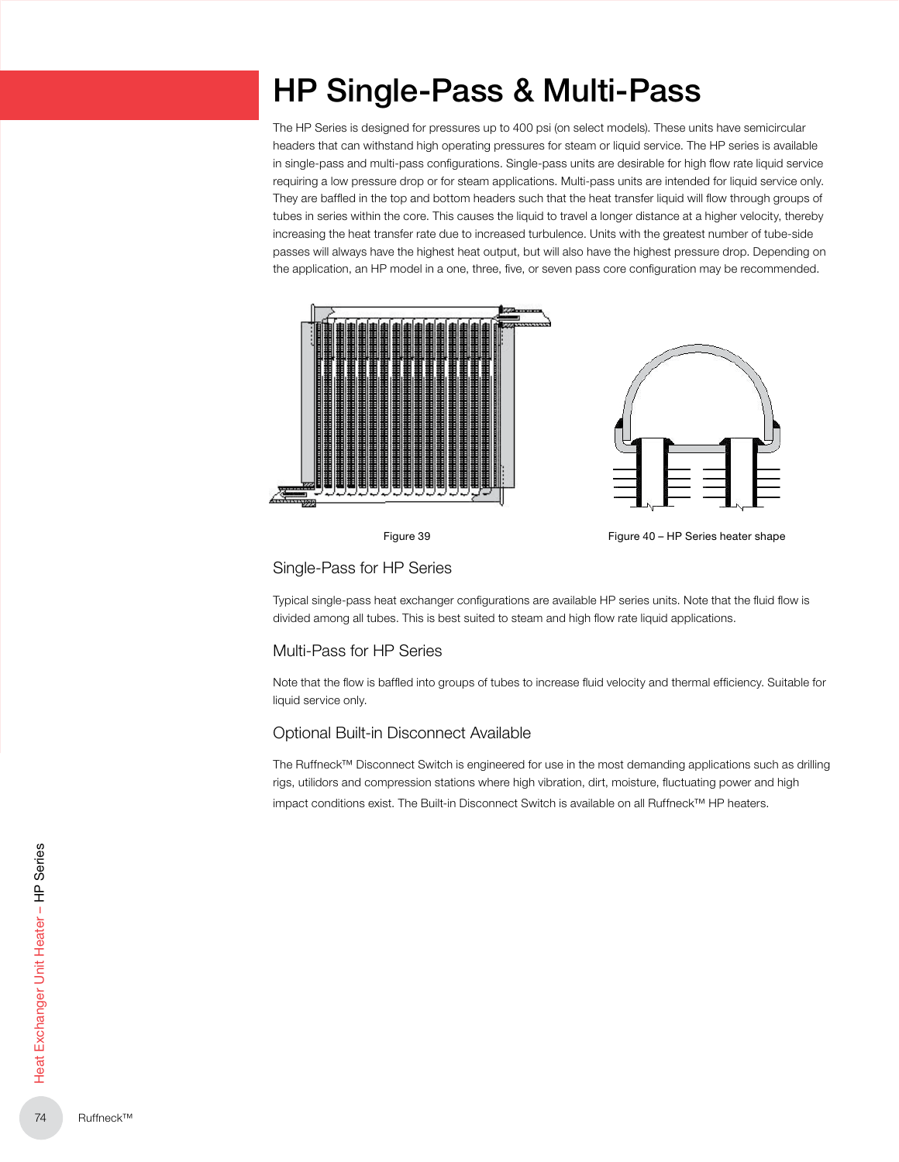## HP Single-Pass & Multi-Pass

The HP Series is designed for pressures up to 400 psi (on select models). These units have semicircular headers that can withstand high operating pressures for steam or liquid service. The HP series is available in single-pass and multi-pass configurations. Single-pass units are desirable for high flow rate liquid service requiring a low pressure drop or for steam applications. Multi-pass units are intended for liquid service only. They are baffled in the top and bottom headers such that the heat transfer liquid will flow through groups of tubes in series within the core. This causes the liquid to travel a longer distance at a higher velocity, thereby increasing the heat transfer rate due to increased turbulence. Units with the greatest number of tube-side passes will always have the highest heat output, but will also have the highest pressure drop. Depending on the application, an HP model in a one, three, five, or seven pass core configuration may be recommended.





Figure 39 Figure 40 – HP Series heater shape

Single-Pass for HP Series

Typical single-pass heat exchanger configurations are available HP series units. Note that the fluid flow is divided among all tubes. This is best suited to steam and high flow rate liquid applications.

#### Multi-Pass for HP Series

Note that the flow is baffled into groups of tubes to increase fluid velocity and thermal efficiency. Suitable for liquid service only.

#### Optional Built-in Disconnect Available

The Ruffneck™ Disconnect Switch is engineered for use in the most demanding applications such as drilling rigs, utilidors and compression stations where high vibration, dirt, moisture, fluctuating power and high impact conditions exist. The Built-in Disconnect Switch is available on all Ruffneck™ HP heaters.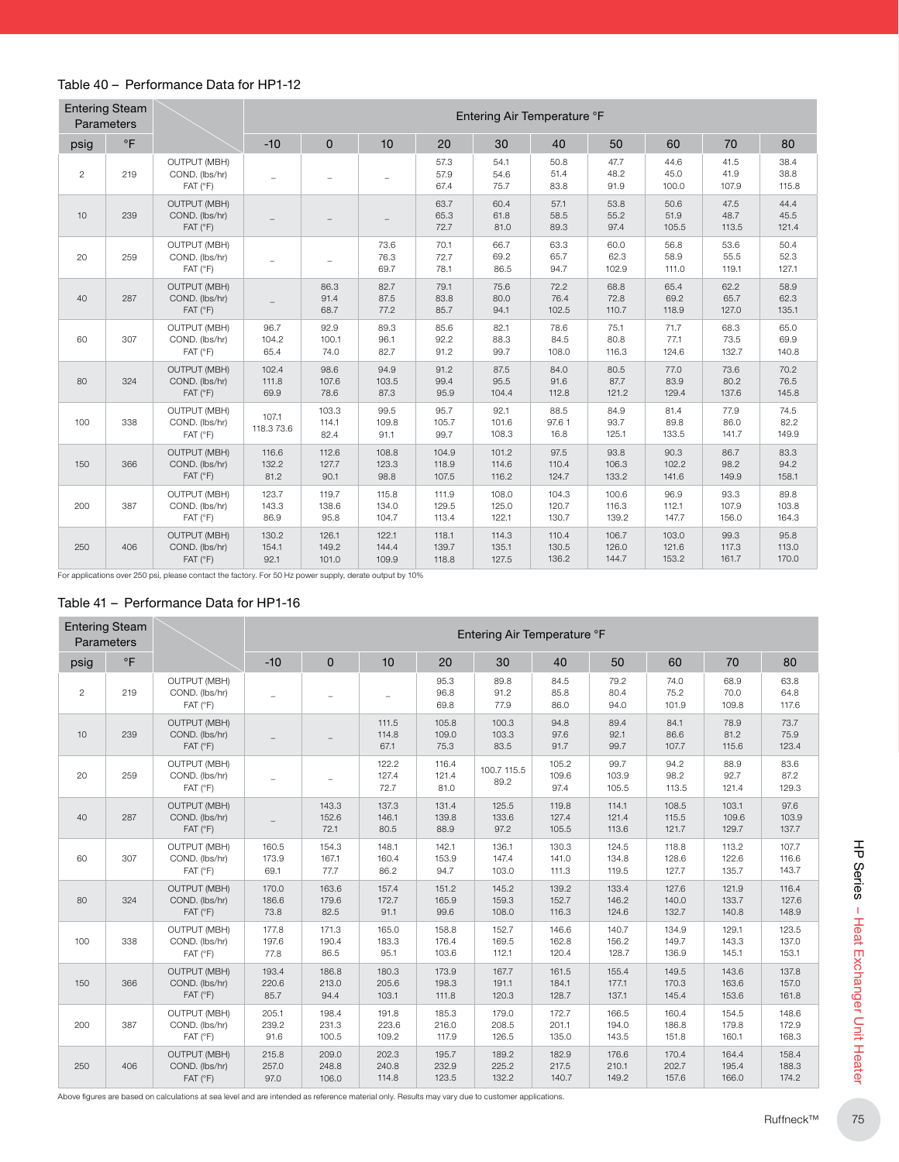#### Table 40 – Performance Data for HP1-12

|                | <b>Entering Steam</b><br>Parameters |                                                                  |                          |                         |                         |                         |                         | Entering Air Temperature °F |                         |                         |                        |                        |
|----------------|-------------------------------------|------------------------------------------------------------------|--------------------------|-------------------------|-------------------------|-------------------------|-------------------------|-----------------------------|-------------------------|-------------------------|------------------------|------------------------|
| psig           | $\circ$ F                           |                                                                  | $-10$                    | $\mathbf{0}$            | 10                      | 20                      | 30                      | 40                          | 50                      | 60                      | 70                     | 80                     |
| $\overline{c}$ | 219                                 | <b>OUTPUT (MBH)</b><br>COND. (lbs/hr)<br>FAT (°F)                | $\overline{\phantom{m}}$ |                         |                         | 57.3<br>57.9<br>67.4    | 54.1<br>54.6<br>75.7    | 50.8<br>51.4<br>83.8        | 47.7<br>48.2<br>91.9    | 44.6<br>45.0<br>100.0   | 41.5<br>41.9<br>107.9  | 38.4<br>38.8<br>115.8  |
| 10             | 239                                 | <b>OUTPUT (MBH)</b><br>COND. (lbs/hr)<br>$FAT$ ( ${}^{\circ}F$ ) |                          |                         |                         | 63.7<br>65.3<br>72.7    | 60.4<br>61.8<br>81.0    | 57.1<br>58.5<br>89.3        | 53.8<br>55.2<br>97.4    | 50.6<br>51.9<br>105.5   | 47.5<br>48.7<br>113.5  | 44.4<br>45.5<br>121.4  |
| 20             | 259                                 | <b>OUTPUT (MBH)</b><br>COND. (lbs/hr)<br>$FAT$ ( ${}^{\circ}F$ ) |                          |                         | 73.6<br>76.3<br>69.7    | 70.1<br>72.7<br>78.1    | 66.7<br>69.2<br>86.5    | 63.3<br>65.7<br>94.7        | 60.0<br>62.3<br>102.9   | 56.8<br>58.9<br>111.0   | 53.6<br>55.5<br>119.1  | 50.4<br>52.3<br>127.1  |
| 40             | 287                                 | <b>OUTPUT (MBH)</b><br>COND. (lbs/hr)<br>$FAT$ ( ${}^{\circ}F$ ) |                          | 86.3<br>91.4<br>68.7    | 82.7<br>87.5<br>77.2    | 79.1<br>83.8<br>85.7    | 75.6<br>80.0<br>94.1    | 72.2<br>76.4<br>102.5       | 68.8<br>72.8<br>110.7   | 65.4<br>69.2<br>118.9   | 62.2<br>65.7<br>127.0  | 58.9<br>62.3<br>135.1  |
| 60             | 307                                 | OUTPUT (MBH)<br>COND. (lbs/hr)<br>FAT (°F)                       | 96.7<br>104.2<br>65.4    | 92.9<br>100.1<br>74.0   | 89.3<br>96.1<br>82.7    | 85.6<br>92.2<br>91.2    | 82.1<br>88.3<br>99.7    | 78.6<br>84.5<br>108.0       | 75.1<br>80.8<br>116.3   | 71.7<br>77.1<br>124.6   | 68.3<br>73.5<br>132.7  | 65.0<br>69.9<br>140.8  |
| 80             | 324                                 | <b>OUTPUT (MBH)</b><br>COND. (lbs/hr)<br>$FAT$ ( ${}^{\circ}F$ ) | 102.4<br>111.8<br>69.9   | 98.6<br>107.6<br>78.6   | 94.9<br>103.5<br>87.3   | 91.2<br>99.4<br>95.9    | 87.5<br>95.5<br>104.4   | 84.0<br>91.6<br>112.8       | 80.5<br>87.7<br>121.2   | 77.0<br>83.9<br>129.4   | 73.6<br>80.2<br>137.6  | 70.2<br>76.5<br>145.8  |
| 100            | 338                                 | <b>OUTPUT (MBH)</b><br>COND. (lbs/hr)<br>FAT (°F)                | 107.1<br>118.3 73.6      | 103.3<br>114.1<br>82.4  | 99.5<br>109.8<br>91.1   | 95.7<br>105.7<br>99.7   | 92.1<br>101.6<br>108.3  | 88.5<br>97.61<br>16.8       | 84.9<br>93.7<br>125.1   | 81.4<br>89.8<br>133.5   | 77.9<br>86.0<br>141.7  | 74.5<br>82.2<br>149.9  |
| 150            | 366                                 | <b>OUTPUT (MBH)</b><br>COND. (lbs/hr)<br>$FAT$ ( ${}^{\circ}F$ ) | 116.6<br>132.2<br>81.2   | 112.6<br>127.7<br>90.1  | 108.8<br>123.3<br>98.8  | 104.9<br>118.9<br>107.5 | 101.2<br>114.6<br>116.2 | 97.5<br>110.4<br>124.7      | 93.8<br>106.3<br>133.2  | 90.3<br>102.2<br>141.6  | 86.7<br>98.2<br>149.9  | 83.3<br>94.2<br>158.1  |
| 200            | 387                                 | <b>OUTPUT (MBH)</b><br>COND. (lbs/hr)<br>FAT (°F)                | 123.7<br>143.3<br>86.9   | 119.7<br>138.6<br>95.8  | 115.8<br>134.0<br>104.7 | 111.9<br>129.5<br>113.4 | 108.0<br>125.0<br>122.1 | 104.3<br>120.7<br>130.7     | 100.6<br>116.3<br>139.2 | 96.9<br>112.1<br>147.7  | 93.3<br>107.9<br>156.0 | 89.8<br>103.8<br>164.3 |
| 250            | 406                                 | <b>OUTPUT (MBH)</b><br>COND. (lbs/hr)<br>FAT (°F)                | 130.2<br>154.1<br>92.1   | 126.1<br>149.2<br>101.0 | 122.1<br>144.4<br>109.9 | 118.1<br>139.7<br>118.8 | 114.3<br>135.1<br>127.5 | 110.4<br>130.5<br>136.2     | 106.7<br>126.0<br>144.7 | 103.0<br>121.6<br>153.2 | 99.3<br>117.3<br>161.7 | 95.8<br>113.0<br>170.0 |

For applications over 250 psi, please contact the factory. For 50 Hz power supply, derate output by 10%

#### Table 41 – Performance Data for HP1-16

| <b>Entering Steam</b><br>Parameters |           |                                                   | Entering Air Temperature °F |                         |                         |                         |                         |                         |                         |                         |                         |                         |  |  |  |
|-------------------------------------|-----------|---------------------------------------------------|-----------------------------|-------------------------|-------------------------|-------------------------|-------------------------|-------------------------|-------------------------|-------------------------|-------------------------|-------------------------|--|--|--|
| psig                                | $\circ$ F |                                                   | $-10$                       | $\mathbf{0}$            | 10                      | 20                      | 30                      | 40                      | 50                      | 60                      | 70                      | 80                      |  |  |  |
| $\overline{c}$                      | 219       | <b>OUTPUT (MBH)</b><br>COND. (lbs/hr)<br>FAT (°F) |                             |                         | $\equiv$                | 95.3<br>96.8<br>69.8    | 89.8<br>91.2<br>77.9    | 84.5<br>85.8<br>86.0    | 79.2<br>80.4<br>94.0    | 74.0<br>75.2<br>101.9   | 68.9<br>70.0<br>109.8   | 63.8<br>64.8<br>117.6   |  |  |  |
| 10                                  | 239       | <b>OUTPUT (MBH)</b><br>COND. (lbs/hr)<br>FAT (°F) |                             |                         | 111.5<br>114.8<br>67.1  | 105.8<br>109.0<br>75.3  | 100.3<br>103.3<br>83.5  | 94.8<br>97.6<br>91.7    | 89.4<br>92.1<br>99.7    | 84.1<br>86.6<br>107.7   | 78.9<br>81.2<br>115.6   | 73.7<br>75.9<br>123.4   |  |  |  |
| 20                                  | 259       | <b>OUTPUT (MBH)</b><br>COND. (lbs/hr)<br>FAT (°F) |                             |                         | 122.2<br>127.4<br>72.7  | 116.4<br>121.4<br>81.0  | 100.7 115.5<br>89.2     | 105.2<br>109.6<br>97.4  | 99.7<br>103.9<br>105.5  | 94.2<br>98.2<br>113.5   | 88.9<br>92.7<br>121.4   | 83.6<br>87.2<br>129.3   |  |  |  |
| 40                                  | 287       | <b>OUTPUT (MBH)</b><br>COND. (lbs/hr)<br>FAT (°F) |                             | 143.3<br>152.6<br>72.1  | 137.3<br>146.1<br>80.5  | 131.4<br>139.8<br>88.9  | 125.5<br>133.6<br>97.2  | 119.8<br>127.4<br>105.5 | 114.1<br>121.4<br>113.6 | 108.5<br>115.5<br>121.7 | 103.1<br>109.6<br>129.7 | 97.6<br>103.9<br>137.7  |  |  |  |
| 60                                  | 307       | <b>OUTPUT (MBH)</b><br>COND. (lbs/hr)<br>FAT (°F) | 160.5<br>173.9<br>69.1      | 154.3<br>167.1<br>77.7  | 148.1<br>160.4<br>86.2  | 142.1<br>153.9<br>94.7  | 136.1<br>147.4<br>103.0 | 130.3<br>141.0<br>111.3 | 124.5<br>134.8<br>119.5 | 118.8<br>128.6<br>127.7 | 113.2<br>122.6<br>135.7 | 107.7<br>116.6<br>143.7 |  |  |  |
| 80                                  | 324       | <b>OUTPUT (MBH)</b><br>COND. (lbs/hr)<br>FAT (°F) | 170.0<br>186.6<br>73.8      | 163.6<br>179.6<br>82.5  | 157.4<br>172.7<br>91.1  | 151.2<br>165.9<br>99.6  | 145.2<br>159.3<br>108.0 | 139.2<br>152.7<br>116.3 | 133.4<br>146.2<br>124.6 | 127.6<br>140.0<br>132.7 | 121.9<br>133.7<br>140.8 | 116.4<br>127.6<br>148.9 |  |  |  |
| 100                                 | 338       | <b>OUTPUT (MBH)</b><br>COND. (lbs/hr)<br>FAT (°F) | 177.8<br>197.6<br>77.8      | 171.3<br>190.4<br>86.5  | 165.0<br>183.3<br>95.1  | 158.8<br>176.4<br>103.6 | 152.7<br>169.5<br>112.1 | 146.6<br>162.8<br>120.4 | 140.7<br>156.2<br>128.7 | 134.9<br>149.7<br>136.9 | 129.1<br>143.3<br>145.1 | 123.5<br>137.0<br>153.1 |  |  |  |
| 150                                 | 366       | <b>OUTPUT (MBH)</b><br>COND. (lbs/hr)<br>FAT (°F) | 193.4<br>220.6<br>85.7      | 186.8<br>213.0<br>94.4  | 180.3<br>205.6<br>103.1 | 173.9<br>198.3<br>111.8 | 167.7<br>191.1<br>120.3 | 161.5<br>184.1<br>128.7 | 155.4<br>177.1<br>137.1 | 149.5<br>170.3<br>145.4 | 143.6<br>163.6<br>153.6 | 137.8<br>157.0<br>161.8 |  |  |  |
| 200                                 | 387       | <b>OUTPUT (MBH)</b><br>COND. (lbs/hr)<br>FAT (°F) | 205.1<br>239.2<br>91.6      | 198.4<br>231.3<br>100.5 | 191.8<br>223.6<br>109.2 | 185.3<br>216.0<br>117.9 | 179.0<br>208.5<br>126.5 | 172.7<br>201.1<br>135.0 | 166.5<br>194.0<br>143.5 | 160.4<br>186.8<br>151.8 | 154.5<br>179.8<br>160.1 | 148.6<br>172.9<br>168.3 |  |  |  |
| 250                                 | 406       | <b>OUTPUT (MBH)</b><br>COND. (lbs/hr)<br>FAT (°F) | 215.8<br>257.0<br>97.0      | 209.0<br>248.8<br>106.0 | 202.3<br>240.8<br>114.8 | 195.7<br>232.9<br>123.5 | 189.2<br>225.2<br>132.2 | 182.9<br>217.5<br>140.7 | 176.6<br>210.1<br>149.2 | 170.4<br>202.7<br>157.6 | 164.4<br>195.4<br>166.0 | 158.4<br>188.3<br>174.2 |  |  |  |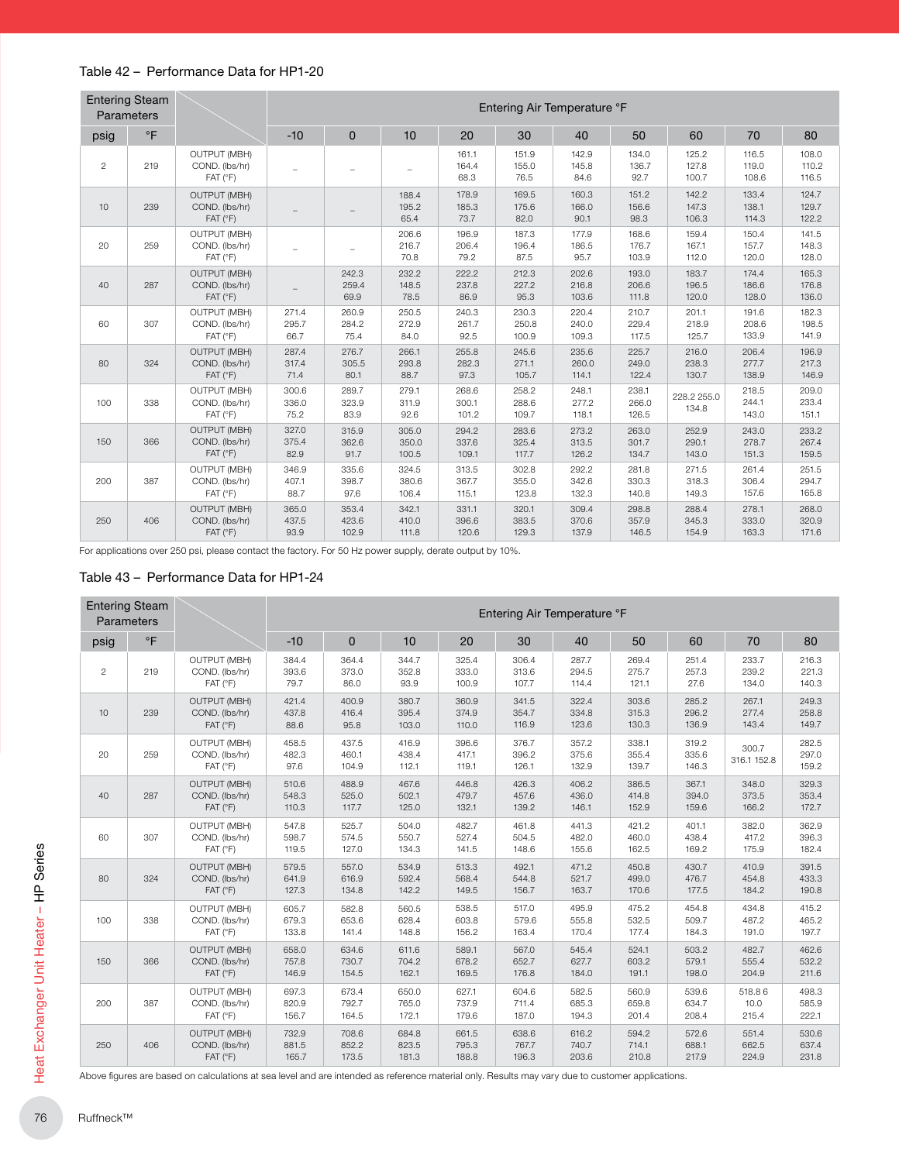#### Table 42 – Performance Data for HP1-20

|                | <b>Entering Steam</b><br>Parameters |                                                                  |                        |                         |                         |                         |                         | Entering Air Temperature °F |                         |                         |                         |                         |
|----------------|-------------------------------------|------------------------------------------------------------------|------------------------|-------------------------|-------------------------|-------------------------|-------------------------|-----------------------------|-------------------------|-------------------------|-------------------------|-------------------------|
| psig           | $\circ$ F                           |                                                                  | $-10$                  | $\mathbf{0}$            | 10                      | 20                      | 30                      | 40                          | 50                      | 60                      | 70                      | 80                      |
| $\overline{c}$ | 219                                 | <b>OUTPUT (MBH)</b><br>COND. (lbs/hr)<br>FAT (°F)                | L.                     |                         | ÷                       | 161.1<br>164.4<br>68.3  | 151.9<br>155.0<br>76.5  | 142.9<br>145.8<br>84.6      | 134.0<br>136.7<br>92.7  | 125.2<br>127.8<br>100.7 | 116.5<br>119.0<br>108.6 | 108.0<br>110.2<br>116.5 |
| 10             | 239                                 | <b>OUTPUT (MBH)</b><br>COND. (lbs/hr)<br>FAT (°F)                |                        |                         | 188.4<br>195.2<br>65.4  | 178.9<br>185.3<br>73.7  | 169.5<br>175.6<br>82.0  | 160.3<br>166.0<br>90.1      | 151.2<br>156.6<br>98.3  | 142.2<br>147.3<br>106.3 | 133.4<br>138.1<br>114.3 | 124.7<br>129.7<br>122.2 |
| 20             | 259                                 | <b>OUTPUT (MBH)</b><br>COND. (lbs/hr)<br>FAT (°F)                | ÷                      |                         | 206.6<br>216.7<br>70.8  | 196.9<br>206.4<br>79.2  | 187.3<br>196.4<br>87.5  | 177.9<br>186.5<br>95.7      | 168.6<br>176.7<br>103.9 | 159.4<br>167.1<br>112.0 | 150.4<br>157.7<br>120.0 | 141.5<br>148.3<br>128.0 |
| 40             | 287                                 | <b>OUTPUT (MBH)</b><br>COND. (lbs/hr)<br>FAT (°F)                |                        | 242.3<br>259.4<br>69.9  | 232.2<br>148.5<br>78.5  | 222.2<br>237.8<br>86.9  | 212.3<br>227.2<br>95.3  | 202.6<br>216.8<br>103.6     | 193.0<br>206.6<br>111.8 | 183.7<br>196.5<br>120.0 | 174.4<br>186.6<br>128.0 | 165.3<br>176.8<br>136.0 |
| 60             | 307                                 | <b>OUTPUT (MBH)</b><br>COND. (lbs/hr)<br>FAT (°F)                | 271.4<br>295.7<br>66.7 | 260.9<br>284.2<br>75.4  | 250.5<br>272.9<br>84.0  | 240.3<br>261.7<br>92.5  | 230.3<br>250.8<br>100.9 | 220.4<br>240.0<br>109.3     | 210.7<br>229.4<br>117.5 | 201.1<br>218.9<br>125.7 | 191.6<br>208.6<br>133.9 | 182.3<br>198.5<br>141.9 |
| 80             | 324                                 | <b>OUTPUT (MBH)</b><br>COND. (lbs/hr)<br>$FAT$ ( ${}^{\circ}F$ ) | 287.4<br>317.4<br>71.4 | 276.7<br>305.5<br>80.1  | 266.1<br>293.8<br>88.7  | 255.8<br>282.3<br>97.3  | 245.6<br>271.1<br>105.7 | 235.6<br>260.0<br>114.1     | 225.7<br>249.0<br>122.4 | 216.0<br>238.3<br>130.7 | 206.4<br>277.7<br>138.9 | 196.9<br>217.3<br>146.9 |
| 100            | 338                                 | <b>OUTPUT (MBH)</b><br>COND. (lbs/hr)<br>FAT (°F)                | 300.6<br>336.0<br>75.2 | 289.7<br>323.9<br>83.9  | 279.1<br>311.9<br>92.6  | 268.6<br>300.1<br>101.2 | 258.2<br>288.6<br>109.7 | 248.1<br>277.2<br>118.1     | 238.1<br>266.0<br>126.5 | 228.2 255.0<br>134.8    | 218.5<br>244.1<br>143.0 | 209.0<br>233.4<br>151.1 |
| 150            | 366                                 | <b>OUTPUT (MBH)</b><br>COND. (lbs/hr)<br>FAT (°F)                | 327.0<br>375.4<br>82.9 | 315.9<br>362.6<br>91.7  | 305.0<br>350.0<br>100.5 | 294.2<br>337.6<br>109.1 | 283.6<br>325.4<br>117.7 | 273.2<br>313.5<br>126.2     | 263.0<br>301.7<br>134.7 | 252.9<br>290.1<br>143.0 | 243.0<br>278.7<br>151.3 | 233.2<br>267.4<br>159.5 |
| 200            | 387                                 | <b>OUTPUT (MBH)</b><br>COND. (lbs/hr)<br>FAT (°F)                | 346.9<br>407.1<br>88.7 | 335.6<br>398.7<br>97.6  | 324.5<br>380.6<br>106.4 | 313.5<br>367.7<br>115.1 | 302.8<br>355.0<br>123.8 | 292.2<br>342.6<br>132.3     | 281.8<br>330.3<br>140.8 | 271.5<br>318.3<br>149.3 | 261.4<br>306.4<br>157.6 | 251.5<br>294.7<br>165.8 |
| 250            | 406                                 | <b>OUTPUT (MBH)</b><br>COND. (lbs/hr)<br>FAT (°F)                | 365.0<br>437.5<br>93.9 | 353.4<br>423.6<br>102.9 | 342.1<br>410.0<br>111.8 | 331.1<br>396.6<br>120.6 | 320.1<br>383.5<br>129.3 | 309.4<br>370.6<br>137.9     | 298.8<br>357.9<br>146.5 | 288.4<br>345.3<br>154.9 | 278.1<br>333.0<br>163.3 | 268.0<br>320.9<br>171.6 |

For applications over 250 psi, please contact the factory. For 50 Hz power supply, derate output by 10%.

#### Table 43 – Performance Data for HP1-24

|                | <b>Entering Steam</b><br>Parameters |                                                                  |                         |                         |                         |                         |                         | Entering Air Temperature °F |                         |                         |                         |                         |
|----------------|-------------------------------------|------------------------------------------------------------------|-------------------------|-------------------------|-------------------------|-------------------------|-------------------------|-----------------------------|-------------------------|-------------------------|-------------------------|-------------------------|
| psig           | $\circ$ F                           |                                                                  | $-10$                   | $\mathbf{0}$            | 10                      | 20                      | 30                      | 40                          | 50                      | 60                      | 70                      | 80                      |
| $\overline{2}$ | 219                                 | OUTPUT (MBH)<br>COND. (lbs/hr)<br>FAT (°F)                       | 384.4<br>393.6<br>79.7  | 364.4<br>373.0<br>86.0  | 344.7<br>352.8<br>93.9  | 325.4<br>333.0<br>100.9 | 306.4<br>313.6<br>107.7 | 287.7<br>294.5<br>114.4     | 269.4<br>275.7<br>121.1 | 251.4<br>257.3<br>27.6  | 233.7<br>239.2<br>134.0 | 216.3<br>221.3<br>140.3 |
| 10             | 239                                 | <b>OUTPUT (MBH)</b><br>COND. (lbs/hr)<br>$FAT$ ( ${}^{\circ}F$ ) | 421.4<br>437.8<br>88.6  | 400.9<br>416.4<br>95.8  | 380.7<br>395.4<br>103.0 | 360.9<br>374.9<br>110.0 | 341.5<br>354.7<br>116.9 | 322.4<br>334.8<br>123.6     | 303.6<br>315.3<br>130.3 | 285.2<br>296.2<br>136.9 | 267.1<br>277.4<br>143.4 | 249.3<br>258.8<br>149.7 |
| 20             | 259                                 | <b>OUTPUT (MBH)</b><br>COND. (lbs/hr)<br>$FAT$ ( ${}^{\circ}F$ ) | 458.5<br>482.3<br>97.6  | 437.5<br>460.1<br>104.9 | 416.9<br>438.4<br>112.1 | 396.6<br>417.1<br>119.1 | 376.7<br>396.2<br>126.1 | 357.2<br>375.6<br>132.9     | 338.1<br>355.4<br>139.7 | 319.2<br>335.6<br>146.3 | 300.7<br>316.1 152.8    | 282.5<br>297.0<br>159.2 |
| 40             | 287                                 | <b>OUTPUT (MBH)</b><br>COND. (lbs/hr)<br>FAT (°F)                | 510.6<br>548.3<br>110.3 | 488.9<br>525.0<br>117.7 | 467.6<br>502.1<br>125.0 | 446.8<br>479.7<br>132.1 | 426.3<br>457.6<br>139.2 | 406.2<br>436.0<br>146.1     | 386.5<br>414.8<br>152.9 | 367.1<br>394.0<br>159.6 | 348.0<br>373.5<br>166.2 | 329.3<br>353.4<br>172.7 |
| 60             | 307                                 | <b>OUTPUT (MBH)</b><br>COND. (lbs/hr)<br>FAT (°F)                | 547.8<br>598.7<br>119.5 | 525.7<br>574.5<br>127.0 | 504.0<br>550.7<br>134.3 | 482.7<br>527.4<br>141.5 | 461.8<br>504.5<br>148.6 | 441.3<br>482.0<br>155.6     | 421.2<br>460.0<br>162.5 | 401.1<br>438.4<br>169.2 | 382.0<br>417.2<br>175.9 | 362.9<br>396.3<br>182.4 |
| 80             | 324                                 | <b>OUTPUT (MBH)</b><br>COND. (lbs/hr)<br>FAT (°F)                | 579.5<br>641.9<br>127.3 | 557.0<br>616.9<br>134.8 | 534.9<br>592.4<br>142.2 | 513.3<br>568.4<br>149.5 | 492.1<br>544.8<br>156.7 | 471.2<br>521.7<br>163.7     | 450.8<br>499.0<br>170.6 | 430.7<br>476.7<br>177.5 | 410.9<br>454.8<br>184.2 | 391.5<br>433.3<br>190.8 |
| 100            | 338                                 | <b>OUTPUT (MBH)</b><br>COND. (lbs/hr)<br>FAT (°F)                | 605.7<br>679.3<br>133.8 | 582.8<br>653.6<br>141.4 | 560.5<br>628.4<br>148.8 | 538.5<br>603.8<br>156.2 | 517.0<br>579.6<br>163.4 | 495.9<br>555.8<br>170.4     | 475.2<br>532.5<br>177.4 | 454.8<br>509.7<br>184.3 | 434.8<br>487.2<br>191.0 | 415.2<br>465.2<br>197.7 |
| 150            | 366                                 | <b>OUTPUT (MBH)</b><br>COND. (lbs/hr)<br>FAT (°F)                | 658.0<br>757.8<br>146.9 | 634.6<br>730.7<br>154.5 | 611.6<br>704.2<br>162.1 | 589.1<br>678.2<br>169.5 | 567.0<br>652.7<br>176.8 | 545.4<br>627.7<br>184.0     | 524.1<br>603.2<br>191.1 | 503.2<br>579.1<br>198.0 | 482.7<br>555.4<br>204.9 | 462.6<br>532.2<br>211.6 |
| 200            | 387                                 | <b>OUTPUT (MBH)</b><br>COND. (lbs/hr)<br>FAT (°F)                | 697.3<br>820.9<br>156.7 | 673.4<br>792.7<br>164.5 | 650.0<br>765.0<br>172.1 | 627.1<br>737.9<br>179.6 | 604.6<br>711.4<br>187.0 | 582.5<br>685.3<br>194.3     | 560.9<br>659.8<br>201.4 | 539.6<br>634.7<br>208.4 | 518.86<br>10.0<br>215.4 | 498.3<br>585.9<br>222.1 |
| 250            | 406                                 | <b>OUTPUT (MBH)</b><br>COND. (lbs/hr)<br>FAT (°F)                | 732.9<br>881.5<br>165.7 | 708.6<br>852.2<br>173.5 | 684.8<br>823.5<br>181.3 | 661.5<br>795.3<br>188.8 | 638.6<br>767.7<br>196.3 | 616.2<br>740.7<br>203.6     | 594.2<br>714.1<br>210.8 | 572.6<br>688.1<br>217.9 | 551.4<br>662.5<br>224.9 | 530.6<br>637.4<br>231.8 |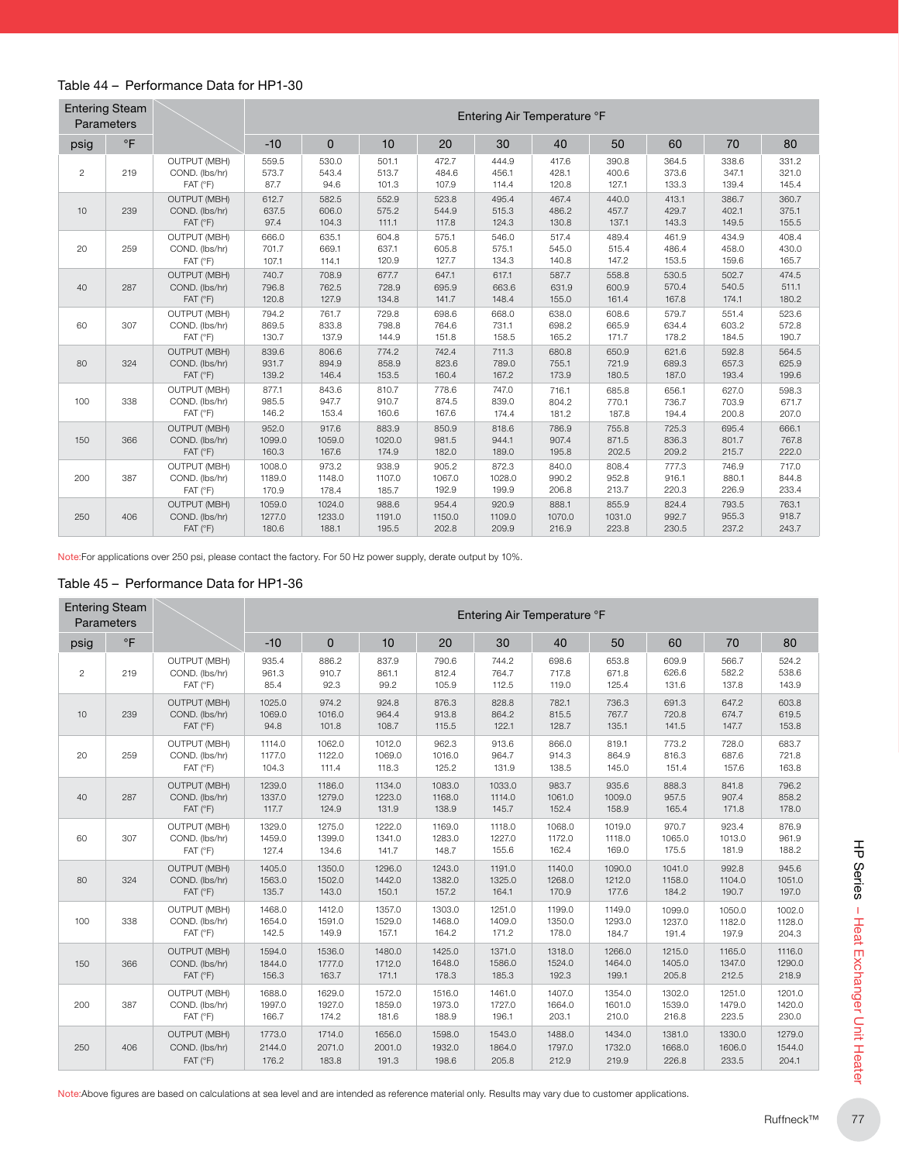#### Table 44 – Performance Data for HP1-30

|            | <b>Entering Steam</b><br>Parameters |                                                                  |                           |                           |                          |                          |                          | Entering Air Temperature °F |                          |                         |                         |                         |
|------------|-------------------------------------|------------------------------------------------------------------|---------------------------|---------------------------|--------------------------|--------------------------|--------------------------|-----------------------------|--------------------------|-------------------------|-------------------------|-------------------------|
| psig       | $\circ$ F                           |                                                                  | $-10$                     | $\Omega$                  | 10                       | 20                       | 30                       | 40                          | 50                       | 60                      | 70                      | 80                      |
| $\sqrt{2}$ | 219                                 | <b>OUTPUT (MBH)</b><br>COND. (lbs/hr)<br>FAT (°F)                | 559.5<br>573.7<br>87.7    | 530.0<br>543.4<br>94.6    | 501.1<br>513.7<br>101.3  | 472.7<br>484.6<br>107.9  | 444.9<br>456.1<br>114.4  | 417.6<br>428.1<br>120.8     | 390.8<br>400.6<br>127.1  | 364.5<br>373.6<br>133.3 | 338.6<br>347.1<br>139.4 | 331.2<br>321.0<br>145.4 |
| 10         | 239                                 | <b>OUTPUT (MBH)</b><br>COND. (lbs/hr)<br>FAT (°F)                | 612.7<br>637.5<br>97.4    | 582.5<br>606.0<br>104.3   | 552.9<br>575.2<br>111.1  | 523.8<br>544.9<br>117.8  | 495.4<br>515.3<br>124.3  | 467.4<br>486.2<br>130.8     | 440.0<br>457.7<br>137.1  | 413.1<br>429.7<br>143.3 | 386.7<br>402.1<br>149.5 | 360.7<br>375.1<br>155.5 |
| 20         | 259                                 | <b>OUTPUT (MBH)</b><br>COND. (lbs/hr)<br>FAT (°F)                | 666.0<br>701.7<br>107.1   | 635.1<br>669.1<br>114.1   | 604.8<br>637.1<br>120.9  | 575.1<br>605.8<br>127.7  | 546.0<br>575.1<br>134.3  | 517.4<br>545.0<br>140.8     | 489.4<br>515.4<br>147.2  | 461.9<br>486.4<br>153.5 | 434.9<br>458.0<br>159.6 | 408.4<br>430.0<br>165.7 |
| 40         | 287                                 | <b>OUTPUT (MBH)</b><br>COND. (lbs/hr)<br>$FAT$ ( ${}^{\circ}F$ ) | 740.7<br>796.8<br>120.8   | 708.9<br>762.5<br>127.9   | 677.7<br>728.9<br>134.8  | 647.1<br>695.9<br>141.7  | 617.1<br>663.6<br>148.4  | 587.7<br>631.9<br>155.0     | 558.8<br>600.9<br>161.4  | 530.5<br>570.4<br>167.8 | 502.7<br>540.5<br>174.1 | 474.5<br>511.1<br>180.2 |
| 60         | 307                                 | <b>OUTPUT (MBH)</b><br>COND. (lbs/hr)<br>FAT (°F)                | 794.2<br>869.5<br>130.7   | 761.7<br>833.8<br>137.9   | 729.8<br>798.8<br>144.9  | 698.6<br>764.6<br>151.8  | 668.0<br>731.1<br>158.5  | 638.0<br>698.2<br>165.2     | 608.6<br>665.9<br>171.7  | 579.7<br>634.4<br>178.2 | 551.4<br>603.2<br>184.5 | 523.6<br>572.8<br>190.7 |
| 80         | 324                                 | <b>OUTPUT (MBH)</b><br>COND. (lbs/hr)<br>$FAT$ ( ${}^{\circ}F$ ) | 839.6<br>931.7<br>139.2   | 806.6<br>894.9<br>146.4   | 774.2<br>858.9<br>153.5  | 742.4<br>823.6<br>160.4  | 711.3<br>789.0<br>167.2  | 680.8<br>755.1<br>173.9     | 650.9<br>721.9<br>180.5  | 621.6<br>689.3<br>187.0 | 592.8<br>657.3<br>193.4 | 564.5<br>625.9<br>199.6 |
| 100        | 338                                 | <b>OUTPUT (MBH)</b><br>COND. (lbs/hr)<br>FAT (°F)                | 877.1<br>985.5<br>146.2   | 843.6<br>947.7<br>153.4   | 810.7<br>910.7<br>160.6  | 778.6<br>874.5<br>167.6  | 747.0<br>839.0<br>174.4  | 716.1<br>804.2<br>181.2     | 685.8<br>770.1<br>187.8  | 656.1<br>736.7<br>194.4 | 627.0<br>703.9<br>200.8 | 598.3<br>671.7<br>207.0 |
| 150        | 366                                 | <b>OUTPUT (MBH)</b><br>COND. (lbs/hr)<br>$FAT$ ( ${}^{\circ}F$ ) | 952.0<br>1099.0<br>160.3  | 917.6<br>1059.0<br>167.6  | 883.9<br>1020.0<br>174.9 | 850.9<br>981.5<br>182.0  | 818.6<br>944.1<br>189.0  | 786.9<br>907.4<br>195.8     | 755.8<br>871.5<br>202.5  | 725.3<br>836.3<br>209.2 | 695.4<br>801.7<br>215.7 | 666.1<br>767.8<br>222.0 |
| 200        | 387                                 | <b>OUTPUT (MBH)</b><br>COND. (lbs/hr)<br>$FAT$ ( ${}^{\circ}F$ ) | 1008.0<br>1189.0<br>170.9 | 973.2<br>1148.0<br>178.4  | 938.9<br>1107.0<br>185.7 | 905.2<br>1067.0<br>192.9 | 872.3<br>1028.0<br>199.9 | 840.0<br>990.2<br>206.8     | 808.4<br>952.8<br>213.7  | 777.3<br>916.1<br>220.3 | 746.9<br>880.1<br>226.9 | 717.0<br>844.8<br>233.4 |
| 250        | 406                                 | OUTPUT (MBH)<br>COND. (lbs/hr)<br>$FAT$ ( ${}^{\circ}F$ )        | 1059.0<br>1277.0<br>180.6 | 1024.0<br>1233.0<br>188.1 | 988.6<br>1191.0<br>195.5 | 954.4<br>1150.0<br>202.8 | 920.9<br>1109.0<br>209.9 | 888.1<br>1070.0<br>216.9    | 855.9<br>1031.0<br>223.8 | 824.4<br>992.7<br>230.5 | 793.5<br>955.3<br>237.2 | 763.1<br>918.7<br>243.7 |

Note:For applications over 250 psi, please contact the factory. For 50 Hz power supply, derate output by 10%.

#### Table 45 – Performance Data for HP1-36

|                | <b>Entering Steam</b><br>Parameters |                                                                                | Entering Air Temperature °F |                           |                           |                           |                           |                           |                           |                           |                           |                           |  |  |  |
|----------------|-------------------------------------|--------------------------------------------------------------------------------|-----------------------------|---------------------------|---------------------------|---------------------------|---------------------------|---------------------------|---------------------------|---------------------------|---------------------------|---------------------------|--|--|--|
| psig           | $\circ$ F                           |                                                                                | $-10$                       | $\mathbf{0}$              | 10                        | 20                        | 30                        | 40                        |                           | 60                        | 70                        | 80                        |  |  |  |
| $\overline{c}$ | 219                                 | <b>OUTPUT (MBH)</b><br>COND. (lbs/hr)<br>FAT (°F)                              | 935.4<br>961.3<br>85.4      | 886.2<br>910.7<br>92.3    | 837.9<br>861.1<br>99.2    | 790.6<br>812.4<br>105.9   | 744.2<br>764.7<br>112.5   | 698.6<br>717.8<br>119.0   | 653.8<br>671.8<br>125.4   | 609.9<br>626.6<br>131.6   | 566.7<br>582.2<br>137.8   | 524.2<br>538.6<br>143.9   |  |  |  |
| 10             | 239                                 | <b>OUTPUT (MBH)</b><br>COND. (lbs/hr)<br>FAT (°F)                              | 1025.0<br>1069.0<br>94.8    | 974.2<br>1016.0<br>101.8  | 924.8<br>964.4<br>108.7   | 876.3<br>913.8<br>115.5   | 828.8<br>864.2<br>122.1   | 782.1<br>815.5<br>128.7   | 736.3<br>767.7<br>135.1   | 691.3<br>720.8<br>141.5   | 647.2<br>674.7<br>147.7   | 603.8<br>619.5<br>153.8   |  |  |  |
| 20             | 259                                 | <b>OUTPUT (MBH)</b><br>COND. (lbs/hr)<br>FAT (°F)                              | 1114.0<br>1177.0<br>104.3   | 1062.0<br>1122.0<br>111.4 | 1012.0<br>1069.0<br>118.3 | 962.3<br>1016.0<br>125.2  | 913.6<br>964.7<br>131.9   | 866.0<br>914.3<br>138.5   | 819.1<br>864.9<br>145.0   | 773.2<br>816.3<br>151.4   | 728.0<br>687.6<br>157.6   | 683.7<br>721.8<br>163.8   |  |  |  |
| 40             | 287                                 | <b>OUTPUT (MBH)</b><br>COND. (lbs/hr)<br>FAT (°F)                              | 1239.0<br>1337.0<br>117.7   | 1186.0<br>1279.0<br>124.9 | 1134.0<br>1223.0<br>131.9 | 1083.0<br>1168.0<br>138.9 | 1033.0<br>1114.0<br>145.7 | 983.7<br>1061.0<br>152.4  | 935.6<br>1009.0<br>158.9  | 888.3<br>957.5<br>165.4   | 841.8<br>907.4<br>171.8   | 796.2<br>858.2<br>178.0   |  |  |  |
| 60             | 307                                 | <b>OUTPUT (MBH)</b><br>COND. (lbs/hr)<br>FAT (°F)                              | 1329.0<br>1459.0<br>127.4   | 1275.0<br>1399.0<br>134.6 | 1222.0<br>1341.0<br>141.7 | 1169.0<br>1283.0<br>148.7 | 1118.0<br>1227.0<br>155.6 | 1068.0<br>1172.0<br>162.4 | 1019.0<br>1118.0<br>169.0 | 970.7<br>1065.0<br>175.5  | 923.4<br>1013.0<br>181.9  | 876.9<br>961.9<br>188.2   |  |  |  |
| 80             | 324                                 | <b>OUTPUT (MBH)</b><br>1405.0<br>COND. (lbs/hr)<br>1563.0<br>135.7<br>FAT (°F) |                             | 1350.0<br>1502.0<br>143.0 | 1296.0<br>1442.0<br>150.1 | 1243.0<br>1382.0<br>157.2 | 1191.0<br>1325.0<br>164.1 | 1140.0<br>1268.0<br>170.9 | 1090.0<br>1212.0<br>177.6 | 1041.0<br>1158.0<br>184.2 | 992.8<br>1104.0<br>190.7  | 945.6<br>1051.0<br>197.0  |  |  |  |
| 100            | 338                                 | <b>OUTPUT (MBH)</b><br>COND. (lbs/hr)<br>FAT (°F)                              | 1468.0<br>1654.0<br>142.5   | 1412.0<br>1591.0<br>149.9 | 1357.0<br>1529.0<br>157.1 | 1303.0<br>1468.0<br>164.2 | 1251.0<br>1409.0<br>171.2 | 1199.0<br>1350.0<br>178.0 | 1149.0<br>1293.0<br>184.7 | 1099.0<br>1237.0<br>191.4 | 1050.0<br>1182.0<br>197.9 | 1002.0<br>1128.0<br>204.3 |  |  |  |
| 150            | 366                                 | <b>OUTPUT (MBH)</b><br>COND. (lbs/hr)<br>FAT (°F)                              | 1594.0<br>1844.0<br>156.3   | 1536.0<br>1777.0<br>163.7 | 1480.0<br>1712.0<br>171.1 | 1425.0<br>1648.0<br>178.3 | 1371.0<br>1586.0<br>185.3 | 1318.0<br>1524.0<br>192.3 | 1266.0<br>1464.0<br>199.1 | 1215.0<br>1405.0<br>205.8 | 1165.0<br>1347.0<br>212.5 | 1116.0<br>1290.0<br>218.9 |  |  |  |
| 200            | 387                                 | <b>OUTPUT (MBH)</b><br>COND. (lbs/hr)<br>FAT (°F)                              | 1688.0<br>1997.0<br>166.7   | 1629.0<br>1927.0<br>174.2 | 1572.0<br>1859.0<br>181.6 | 1516.0<br>1973.0<br>188.9 | 1461.0<br>1727.0<br>196.1 | 1407.0<br>1664.0<br>203.1 | 1354.0<br>1601.0<br>210.0 | 1302.0<br>1539.0<br>216.8 | 1251.0<br>1479.0<br>223.5 | 1201.0<br>1420.0<br>230.0 |  |  |  |
| 250            | 406                                 | <b>OUTPUT (MBH)</b><br>COND. (lbs/hr)<br>FAT (°F)                              | 1773.0<br>2144.0<br>176.2   | 1714.0<br>2071.0<br>183.8 | 1656.0<br>2001.0<br>191.3 | 1598.0<br>1932.0<br>198.6 | 1543.0<br>1864.0<br>205.8 | 1488.0<br>1797.0<br>212.9 | 1434.0<br>1732.0<br>219.9 | 1381.0<br>1668.0<br>226.8 | 1330.0<br>1606.0<br>233.5 | 1279.0<br>1544.0<br>204.1 |  |  |  |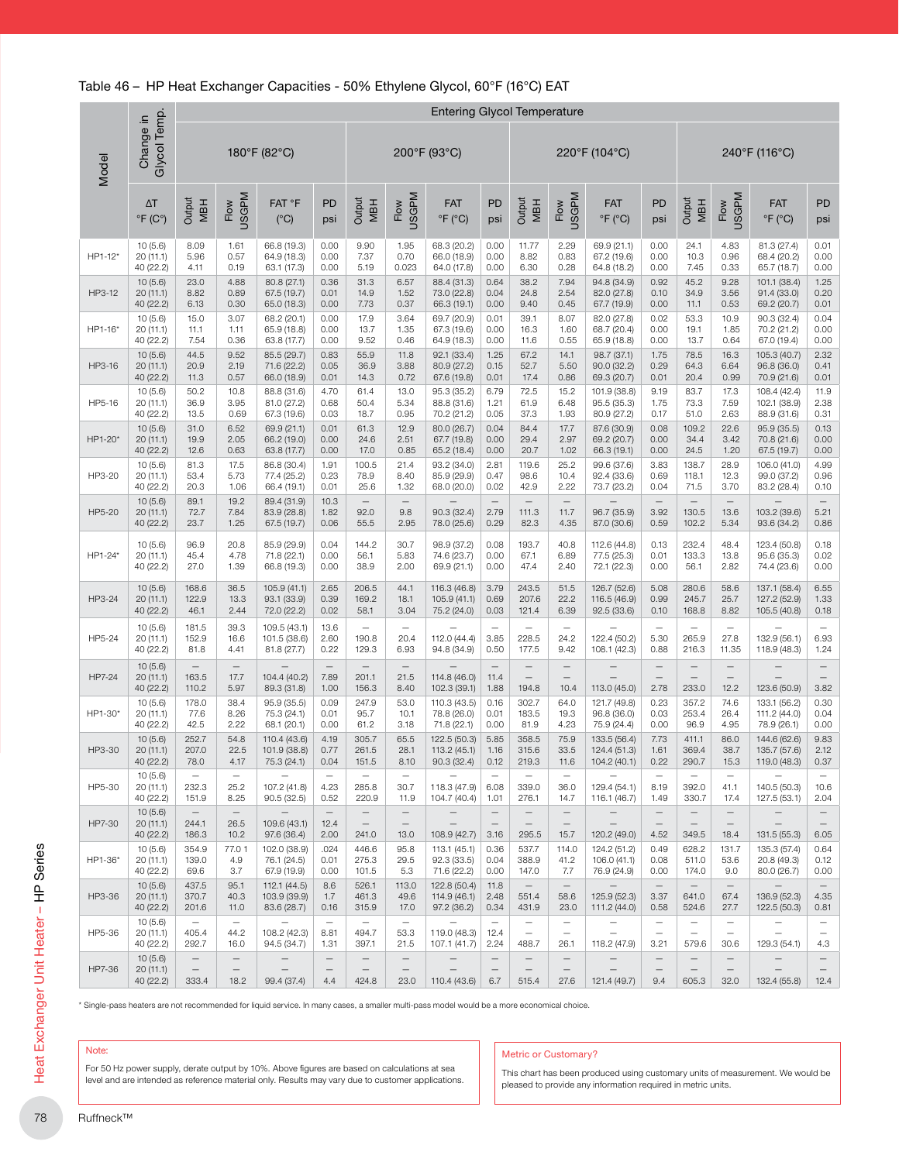|         |                                          |                                                        |                                                       |                                                                                                                                                                                                   |                                          |                                            |                                                       | <b>Entering Glycol Temperature</b>          |                                                      |                                                               |                                                              |                                                                                                                                                |                                                              |                                                               |                                                       |                                              |
|---------|------------------------------------------|--------------------------------------------------------|-------------------------------------------------------|---------------------------------------------------------------------------------------------------------------------------------------------------------------------------------------------------|------------------------------------------|--------------------------------------------|-------------------------------------------------------|---------------------------------------------|------------------------------------------------------|---------------------------------------------------------------|--------------------------------------------------------------|------------------------------------------------------------------------------------------------------------------------------------------------|--------------------------------------------------------------|---------------------------------------------------------------|-------------------------------------------------------|----------------------------------------------|
| Model   | Glycol Temp.<br>Change in                |                                                        |                                                       | 180°F (82°C)                                                                                                                                                                                      |                                          |                                            |                                                       | 200°F (93°C)                                |                                                      |                                                               |                                                              | 220°F (104°C)                                                                                                                                  |                                                              |                                                               |                                                       | 240°F (116°C)                                |
|         | $\Delta T$<br>$\degree$ F (C $\degree$ ) | Output<br><b>MBH</b>                                   | <b>USGPM</b><br>Flow                                  | FAT °F<br>$(^{\circ}C)$                                                                                                                                                                           | PD<br>psi                                | Output<br><b>MBH</b>                       | Flow<br>USGPM                                         | <b>FAT</b><br>$\degree$ F ( $\degree$ C)    | <b>PD</b><br>psi                                     | Output<br><b>MBH</b>                                          | <b>USGPM</b><br>Flow                                         | <b>FAT</b><br>$\degree$ F ( $\degree$ C)                                                                                                       | PD<br>psi                                                    | Output<br><b>MBH</b>                                          | <b>USGPM</b><br>Flow                                  | <b>FAT</b><br>$\degree$ F ( $\degree$ C)     |
| HP1-12* | 10(5.6)<br>20 (11.1)<br>40 (22.2)        | 8.09<br>5.96<br>4.11                                   | 1.61<br>0.57<br>0.19                                  | 66.8 (19.3)<br>64.9 (18.3)<br>63.1 (17.3)                                                                                                                                                         | 0.00<br>0.00<br>0.00                     | 9.90<br>7.37<br>5.19                       | 1.95<br>0.70<br>0.023                                 | 68.3 (20.2)<br>66.0 (18.9)<br>64.0 (17.8)   | 0.00<br>0.00<br>0.00                                 | 11.77<br>8.82<br>6.30                                         | 2.29<br>0.83<br>0.28                                         | 69.9 (21.1)<br>67.2 (19.6)<br>64.8 (18.2)                                                                                                      | 0.00<br>0.00<br>0.00                                         | 24.1<br>10.3<br>7.45                                          | 4.83<br>0.96<br>0.33                                  | 81.3 (27.4)<br>68.4 (20.2)<br>65.7 (18.7)    |
| HP3-12  | 10(5.6)<br>20(11.1)<br>40 (22.2)         | 23.0<br>8.82<br>6.13                                   | 4.88<br>0.89<br>0.30                                  | 80.8 (27.1)<br>67.5 (19.7)<br>65.0 (18.3)                                                                                                                                                         | 0.36<br>0.01<br>0.00                     | 31.3<br>14.9<br>7.73                       | 6.57<br>1.52<br>0.37                                  | 88.4 (31.3)<br>73.0 (22.8)<br>66.3 (19.1)   | 0.64<br>0.04<br>0.00                                 | 38.2<br>24.8<br>9.40                                          | 7.94<br>2.54<br>0.45                                         | 94.8 (34.9)<br>82.0 (27.8)<br>67.7 (19.9)                                                                                                      | 0.92<br>0.10<br>0.00                                         | 45.2<br>34.9<br>11.1                                          | 9.28<br>3.56<br>0.53                                  | 101.1 (38.4)<br>91.4 (33.0)<br>69.2 (20.7)   |
| HP1-16' | 10(5.6)<br>20 (11.1)<br>40 (22.2)        | 15.0<br>11.1<br>7.54                                   | 3.07<br>1.11<br>0.36                                  | 68.2 (20.1)<br>65.9 (18.8)<br>63.8 (17.7)                                                                                                                                                         | 0.00<br>0.00<br>0.00                     | 17.9<br>13.7<br>9.52                       | 3.64<br>1.35<br>0.46                                  | 69.7 (20.9)<br>67.3 (19.6)<br>64.9 (18.3)   | 0.01<br>0.00<br>0.00                                 | 39.1<br>16.3<br>11.6                                          | 8.07<br>1.60<br>0.55                                         | 82.0 (27.8)<br>68.7 (20.4)<br>65.9 (18.8)                                                                                                      | 0.02<br>0.00<br>0.00                                         | 53.3<br>19.1<br>13.7                                          | 10.9<br>1.85<br>0.64                                  | 90.3 (32.4)<br>70.2 (21.2)<br>67.0 (19.4)    |
| HP3-16  | 10(5.6)<br>20(11.1)<br>40 (22.2)         | 44.5<br>20.9<br>11.3                                   | 9.52<br>2.19<br>0.57                                  | 85.5 (29.7)<br>71.6 (22.2)<br>66.0 (18.9)                                                                                                                                                         | 0.83<br>0.05<br>0.01                     | 55.9<br>36.9<br>14.3                       | 11.8<br>3.88<br>0.72                                  | 92.1 (33.4)<br>80.9 (27.2)<br>67.6 (19.8)   | 1.25<br>0.15<br>0.01                                 | 67.2<br>52.7<br>17.4                                          | 14.1<br>5.50<br>0.86                                         | 98.7 (37.1)<br>90.0(32.2)<br>69.3 (20.7)                                                                                                       | 1.75<br>0.29<br>0.01                                         | 78.5<br>64.3<br>20.4                                          | 16.3<br>6.64<br>0.99                                  | 105.3 (40.7)<br>96.8 (36.0)<br>70.9 (21.6)   |
| HP5-16  | 10(5.6)<br>20 (11.1)<br>40 (22.2)        | 50.2<br>36.9<br>13.5                                   | 10.8<br>3.95<br>0.69                                  | 88.8 (31.6)<br>81.0 (27.2)<br>67.3 (19.6)                                                                                                                                                         | 4.70<br>0.68<br>0.03                     | 61.4<br>50.4<br>18.7                       | 13.0<br>5.34<br>0.95                                  | 95.3 (35.2)<br>88.8 (31.6)<br>70.2 (21.2)   | 6.79<br>1.21<br>0.05                                 | 72.5<br>61.9<br>37.3                                          | 15.2<br>6.48<br>1.93                                         | 101.9 (38.8)<br>95.5 (35.3)<br>80.9 (27.2)                                                                                                     | 9.19<br>1.75<br>0.17                                         | 83.7<br>73.3<br>51.0                                          | 17.3<br>7.59<br>2.63                                  | 108.4 (42.4)<br>102.1 (38.9)<br>88.9 (31.6)  |
| HP1-20* | 10(5.6)<br>20 (11.1)<br>40 (22.2)        | 31.0<br>19.9<br>12.6                                   | 6.52<br>2.05<br>0.63                                  | 69.9 (21.1)<br>66.2 (19.0)<br>63.8 (17.7)                                                                                                                                                         | 0.01<br>0.00<br>0.00                     | 61.3<br>24.6<br>17.0                       | 12.9<br>2.51<br>0.85                                  | 80.0 (26.7)<br>67.7 (19.8)<br>65.2 (18.4)   | 0.04<br>0.00<br>0.00                                 | 84.4<br>29.4<br>20.7                                          | 17.7<br>2.97<br>1.02                                         | 87.6 (30.9)<br>69.2 (20.7)<br>66.3 (19.1)                                                                                                      | 0.08<br>0.00<br>0.00                                         | 109.2<br>34.4<br>24.5                                         | 22.6<br>3.42<br>1.20                                  | 95.9 (35.5)<br>70.8 (21.6)<br>67.5 (19.7)    |
| HP3-20  | 10(5.6)<br>20 (11.1)<br>40 (22.2)        | 81.3<br>53.4<br>20.3                                   | 17.5<br>5.73<br>1.06                                  | 86.8 (30.4)<br>77.4 (25.2)<br>66.4 (19.1)                                                                                                                                                         | 1.91<br>0.23<br>0.01                     | 100.5<br>78.9<br>25.6                      | 21.4<br>8.40<br>1.32                                  | 93.2 (34.0)<br>85.9 (29.9)<br>68.0 (20.0)   | 2.81<br>0.47<br>0.02                                 | 119.6<br>98.6<br>42.9                                         | 25.2<br>10.4<br>2.22                                         | 99.6 (37.6)<br>92.4 (33.6)<br>73.7 (23.2)                                                                                                      | 3.83<br>0.69<br>0.04                                         | 138.7<br>118.1<br>71.5                                        | 28.9<br>12.3<br>3.70                                  | 106.0 (41.0)<br>99.0 (37.2)<br>83.2 (28.4)   |
| HP5-20  | 10(5.6)<br>20 (11.1)<br>40 (22.2)        | 89.1<br>72.7<br>23.7                                   | 19.2<br>7.84<br>1.25                                  | 89.4 (31.9)<br>83.9 (28.8)<br>67.5 (19.7)                                                                                                                                                         | 10.3<br>1.82<br>0.06                     | $\qquad \qquad -$<br>92.0<br>55.5          | $\equiv$<br>9.8<br>2.95                               | 90.3 (32.4)<br>78.0 (25.6)                  | $\equiv$<br>2.79<br>0.29                             | 111.3<br>82.3                                                 | 11.7<br>4.35                                                 | 96.7 (35.9)<br>87.0 (30.6)                                                                                                                     | $\equiv$<br>3.92<br>0.59                                     | $\sim$<br>130.5<br>102.2                                      | $\equiv$<br>13.6<br>5.34                              | 103.2 (39.6)<br>93.6 (34.2)                  |
| HP1-24* | 10(5.6)<br>20 (11.1)<br>40 (22.2)        | 96.9<br>45.4<br>27.0                                   | 20.8<br>4.78<br>1.39                                  | 85.9 (29.9)<br>71.8 (22.1)<br>66.8 (19.3)                                                                                                                                                         | 0.04<br>0.00<br>0.00                     | 144.2<br>56.1<br>38.9                      | 30.7<br>5.83<br>2.00                                  | 98.9 (37.2)<br>74.6 (23.7)<br>69.9 (21.1)   | 0.08<br>0.00<br>0.00                                 | 193.7<br>67.1<br>47.4                                         | 40.8<br>6.89<br>2.40                                         | 112.6 (44.8)<br>77.5 (25.3)<br>72.1 (22.3)                                                                                                     | 0.13<br>0.01<br>0.00                                         | 232.4<br>133.3<br>56.1                                        | 48.4<br>13.8<br>2.82                                  | 123.4 (50.8)<br>95.6 (35.3)<br>74.4 (23.6)   |
| HP3-24  | 10(5.6)<br>20 (11.1)<br>40 (22.2)        | 168.6<br>122.9<br>46.1                                 | 36.5<br>13.3<br>2.44                                  | 105.9 (41.1)<br>93.1 (33.9)<br>72.0 (22.2)                                                                                                                                                        | 2.65<br>0.39<br>0.02                     | 206.5<br>169.2<br>58.1                     | 44.1<br>18.1<br>3.04                                  | 116.3 (46.8)<br>105.9 (41.1)<br>75.2 (24.0) | 3.79<br>0.69<br>0.03                                 | 243.5<br>207.6<br>121.4                                       | 51.5<br>22.2<br>6.39                                         | 126.7 (52.6)<br>116.5 (46.9)<br>92.5 (33.6)                                                                                                    | 5.08<br>0.99<br>0.10                                         | 280.6<br>245.7<br>168.8                                       | 58.6<br>25.7<br>8.82                                  | 137.1 (58.4)<br>127.2 (52.9)<br>105.5 (40.8) |
| HP5-24  | 10(5.6)<br>20(11.1)<br>40 (22.2)         | 181.5<br>152.9<br>81.8                                 | 39.3<br>16.6<br>4.41                                  | 109.5 (43.1)<br>101.5 (38.6)<br>81.8 (27.7)                                                                                                                                                       | 13.6<br>2.60<br>0.22                     | $\overline{\phantom{0}}$<br>190.8<br>129.3 | $\equiv$<br>20.4<br>6.93                              | 112.0 (44.4)<br>94.8 (34.9)                 | $\equiv$<br>3.85<br>0.50                             | $\equiv$<br>228.5<br>177.5                                    | $\sim$<br>24.2<br>9.42                                       | 122.4 (50.2)<br>108.1 (42.3)                                                                                                                   | $\overline{\phantom{m}}$<br>5.30<br>0.88                     | $\overline{\phantom{0}}$<br>265.9<br>216.3                    | $\equiv$<br>27.8<br>11.35                             | 132.9 (56.1)<br>118.9 (48.3)                 |
| HP7-24  | 10(5.6)<br>20 (11.1)<br>40 (22.2)        | $\overline{\phantom{m}}$<br>163.5<br>110.2             | $\overline{\phantom{m}}$<br>17.7<br>5.97              | 104.4 (40.2)<br>89.3 (31.8)                                                                                                                                                                       | $\overline{\phantom{m}}$<br>7.89<br>1.00 | $\qquad \qquad -$<br>201.1<br>156.3        | $\overline{\phantom{m}}$<br>21.5<br>8.40              | 114.8 (46.0)<br>102.3 (39.1)                | $\overline{\phantom{m}}$<br>11.4<br>1.88             | $\qquad \qquad -$<br>$\equiv$<br>194.8                        | $\overline{\phantom{m}}$<br>10.4                             | 113.0 (45.0)                                                                                                                                   | $\qquad \qquad -$<br>2.78                                    | $\overline{\phantom{m}}$<br>233.0                             | $\overline{\phantom{m}}$<br>12.2                      | 123.6 (50.9)                                 |
| HP1-30* | 10(5.6)<br>20 (11.1)<br>40 (22.2)        | 178.0<br>77.6<br>42.5                                  | 38.4<br>8.26<br>2.22                                  | 95.9 (35.5)<br>75.3 (24.1)<br>68.1 (20.1)                                                                                                                                                         | 0.09<br>0.01<br>0.00                     | 247.9<br>95.7<br>61.2                      | 53.0<br>10.1<br>3.18                                  | 110.3 (43.5)<br>78.8 (26.0)<br>71.8 (22.1)  | 0.16<br>0.01<br>0.00                                 | 302.7<br>183.5<br>81.9                                        | 64.0<br>19.3<br>4.23                                         | 121.7 (49.8)<br>96.8 (36.0)<br>75.9 (24.4)                                                                                                     | 0.23<br>0.03<br>0.00                                         | 357.2<br>253.4<br>96.9                                        | 74.6<br>26.4<br>4.95                                  | 133.1 (56.2)<br>111.2 (44.0)<br>78.9 (26.1)  |
| HP3-30  | 10(5.6)<br>20(11.1)<br>40 (22.2)         | 252.7<br>207.0<br>78.0                                 | 54.8<br>22.5<br>4.17                                  | 110.4 (43.6)<br>101.9 (38.8)<br>75.3 (24.1)                                                                                                                                                       | 4.19<br>0.77<br>0.04                     | 305.7<br>261.5<br>151.5                    | 65.5<br>28.1<br>8.10                                  | 122.5 (50.3)<br>113.2 (45.1)<br>90.3 (32.4) | 5.85<br>1.16<br>0.12                                 | 358.5<br>315.6<br>219.3                                       | 75.9<br>33.5<br>11.6                                         | 133.5 (56.4)<br>124.4 (51.3)<br>104.2 (40.1)                                                                                                   | 7.73<br>1.61<br>0.22                                         | 411.1<br>369.4<br>290.7                                       | 86.0<br>38.7<br>15.3                                  | 144.6 (62.6)<br>135.7 (57.6)<br>119.0 (48.3) |
| HP5-30  | 10(5.6)<br>20 (11.1)<br>40 (22.2)        | $\overline{\phantom{m}}$<br>232.3<br>151.9             | $\overline{\phantom{m}}$<br>25.2<br>8.25              | 107.2 (41.8)<br>90.5(32.5)                                                                                                                                                                        | $\overline{\phantom{m}}$<br>4.23<br>0.52 | -<br>285.8<br>220.9                        | $\qquad \qquad -$<br>30.7<br>11.9                     | 118.3 (47.9)<br>104.7 (40.4)                | $\qquad \qquad -$<br>6.08<br>1.01                    | $\overline{\phantom{m}}$<br>339.0<br>276.1                    | $\overline{\phantom{m}}$<br>36.0<br>14.7                     | 129.4 (54.1)<br>116.1 (46.7)                                                                                                                   | $\overline{\phantom{m}}$<br>8.19<br>1.49                     | 392.0<br>330.7                                                | 41.1<br>17.4                                          | 140.5 (50.3)<br>127.5 (53.1)                 |
| HP7-30  | 10(5.6)<br>20 (11.1)<br>40 (22.2)        | $\overline{\phantom{0}}$<br>244.1<br>186.3             | $\qquad \qquad -$<br>26.5<br>10.2                     | 109.6 (43.1)<br>97.6 (36.4)                                                                                                                                                                       | $\overline{\phantom{0}}$<br>12.4<br>2.00 | —<br>$\qquad \qquad -$<br>241.0            | $\qquad \qquad -$<br>$\overline{\phantom{m}}$<br>13.0 | 108.9 (42.7)                                | —<br>3.16                                            | 295.5                                                         | $\overline{\phantom{m}}$<br>15.7                             | 120.2 (49.0)                                                                                                                                   | $\qquad \qquad -$<br>$\qquad \qquad -$<br>4.52               | $\overline{\phantom{0}}$<br>349.5                             | $\qquad \qquad -$<br>$\overline{\phantom{m}}$<br>18.4 | 131.5 (55.3)                                 |
| HP1-36* | 10(5.6)<br>20 (11.1)<br>40 (22.2)        | 354.9<br>139.0<br>69.6                                 | 77.01<br>4.9<br>3.7                                   | 102.0 (38.9)<br>76.1 (24.5)<br>67.9 (19.9)                                                                                                                                                        | .024<br>0.01<br>0.00                     | 446.6<br>275.3<br>101.5                    | 95.8<br>29.5<br>5.3                                   | 113.1 (45.1)<br>92.3 (33.5)<br>71.6 (22.2)  | 0.36<br>0.04<br>0.00                                 | 537.7<br>388.9<br>147.0                                       | 114.0<br>41.2<br>7.7                                         | 124.2 (51.2)<br>106.0 (41.1)<br>76.9 (24.9)                                                                                                    | 0.49<br>0.08<br>0.00                                         | 628.2<br>511.0<br>174.0                                       | 131.7<br>53.6<br>9.0                                  | 135.3 (57.4)<br>20.8 (49.3)<br>80.0 (26.7)   |
| HP3-36  | 10(5.6)<br>20 (11.1)<br>40 (22.2)        | 437.5<br>370.7<br>201.6                                | 95.1<br>40.3<br>11.0                                  | 112.1 (44.5)<br>103.9 (39.9)<br>83.6 (28.7)                                                                                                                                                       | 8.6<br>1.7<br>0.16                       | 526.1<br>461.3<br>315.9                    | 113.0<br>49.6<br>17.0                                 | 122.8 (50.4)<br>114.9 (46.1)<br>97.2 (36.2) | 11.8<br>2.48<br>0.34                                 | $\qquad \qquad -$<br>551.4<br>431.9                           | 58.6<br>23.0                                                 | 125.9 (52.3)<br>111.2 (44.0)                                                                                                                   | $\qquad \qquad -$<br>3.37<br>0.58                            | $\overline{\phantom{m}}$<br>641.0<br>524.6                    | 67.4<br>27.7                                          | 136.9 (52.3)<br>122.5 (50.3)                 |
| HP5-36  | 10(5.6)<br>20(11.1)<br>40 (22.2)         | $\overline{\phantom{m}}$<br>405.4<br>292.7             | $\overline{\phantom{m}}$<br>44.2<br>16.0              | ÷<br>108.2 (42.3)<br>94.5 (34.7)                                                                                                                                                                  | $\overline{\phantom{m}}$<br>8.81<br>1.31 | $\overline{\phantom{m}}$<br>494.7<br>397.1 | $\overline{\phantom{m}}$<br>53.3<br>21.5              | 119.0 (48.3)<br>107.1 (41.7)                | $\overline{\phantom{m}}$<br>12.4<br>2.24             | $\overline{\phantom{0}}$<br>$\overline{\phantom{0}}$<br>488.7 | $\overline{\phantom{m}}$<br>$\overline{\phantom{0}}$<br>26.1 | ÷<br>118.2 (47.9)                                                                                                                              | $\overline{\phantom{m}}$<br>$\overline{\phantom{0}}$<br>3.21 | $\overline{\phantom{m}}$<br>$\overline{\phantom{0}}$<br>579.6 | $\overline{\phantom{m}}$<br>$\equiv$<br>30.6          | 129.3 (54.1)                                 |
| HP7-36  | 10(5.6)<br>20(11.1)<br>40 (22.2)         | $\overline{\phantom{m}}$<br>$\qquad \qquad -$<br>333.4 | $\overline{\phantom{0}}$<br>$\qquad \qquad -$<br>18.2 | 99.4 (37.4)                                                                                                                                                                                       | $\overline{\phantom{m}}$<br>4.4          | $\overline{\phantom{0}}$<br>424.8          | $\qquad \qquad -$<br>23.0                             | 110.4 (43.6)                                | $\qquad \qquad -$<br>$\overline{\phantom{0}}$<br>6.7 | $\overline{\phantom{m}}$<br>515.4                             | $\overline{\phantom{m}}$<br>27.6                             | 121.4 (49.7)                                                                                                                                   | $\overline{\phantom{m}}$<br>9.4                              | $\overline{\phantom{0}}$<br>605.3                             | $\qquad \qquad -$<br>$\overline{\phantom{0}}$<br>32.0 | 132.4 (55.8)                                 |
|         |                                          |                                                        |                                                       | * Single-pass heaters are not recommended for liquid service. In many cases, a smaller multi-pass model would be a more economical choice.                                                        |                                          |                                            |                                                       |                                             |                                                      |                                                               |                                                              |                                                                                                                                                |                                                              |                                                               |                                                       |                                              |
| Note:   |                                          |                                                        |                                                       | For 50 Hz power supply, derate output by 10%. Above figures are based on calculations at sea<br>level and are intended as reference material only. Results may vary due to customer applications. |                                          |                                            |                                                       |                                             |                                                      | <b>Metric or Customary?</b>                                   |                                                              | This chart has been produced using customary units of measurement. We would be<br>pleased to provide any information required in metric units. |                                                              |                                                               |                                                       |                                              |

#### Table 46 – HP Heat Exchanger Capacities - 50% Ethylene Glycol, 60°F (16°C) EAT

#### Note:

#### Metric or Customary?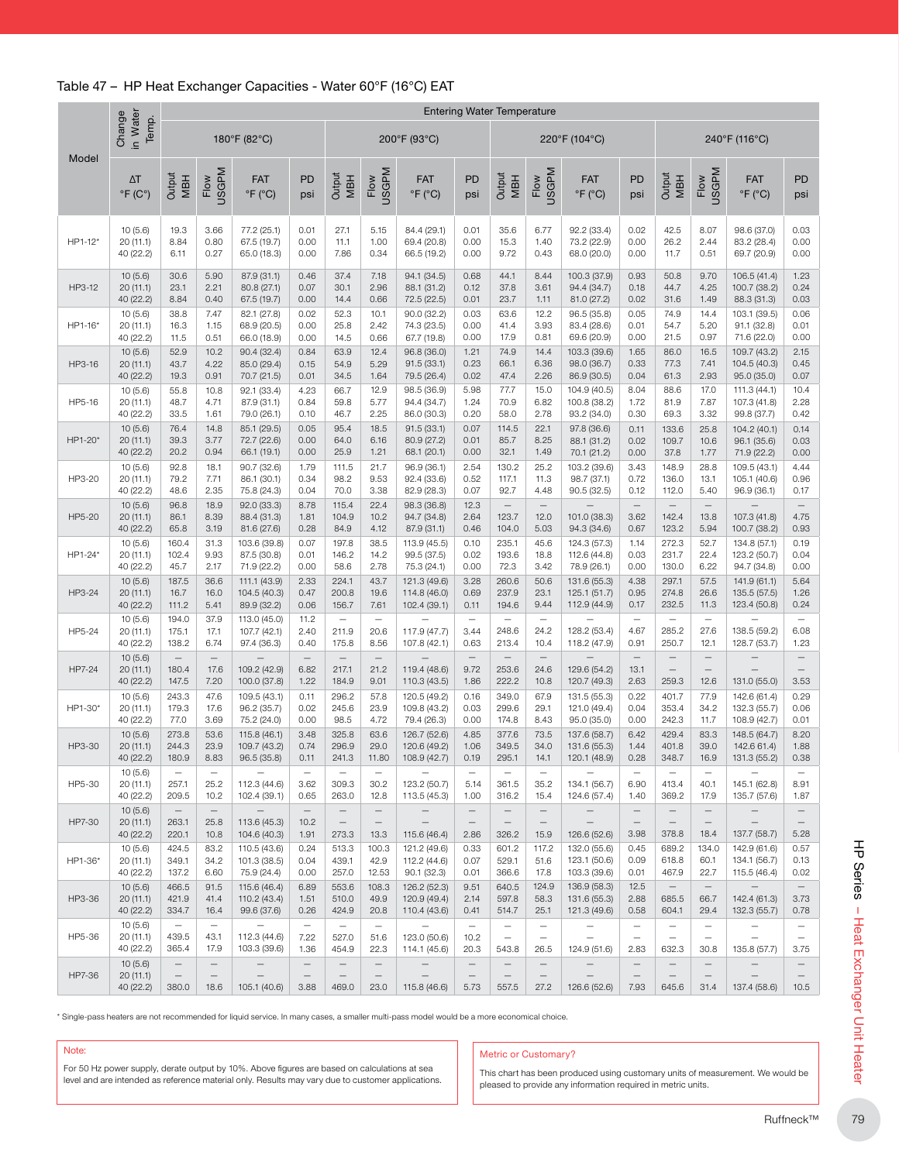#### Table 47 – HP Heat Exchanger Capacities - Water 60°F (16°C) EAT

|                                                                                                                                                                                                            | in Water<br>Change<br>Temp.       |                                            |                                                | 180°F (82°C)                                |                                                       |                                                        |                                                       | 200°F (93°C)                                                                                                                             |                                                              |                                                                                                               |                                                                       | 220°F (104°C)                                |                                                       | 240°F (116°C)                                          |                                                              |                                                                      |                                                              |  |
|------------------------------------------------------------------------------------------------------------------------------------------------------------------------------------------------------------|-----------------------------------|--------------------------------------------|------------------------------------------------|---------------------------------------------|-------------------------------------------------------|--------------------------------------------------------|-------------------------------------------------------|------------------------------------------------------------------------------------------------------------------------------------------|--------------------------------------------------------------|---------------------------------------------------------------------------------------------------------------|-----------------------------------------------------------------------|----------------------------------------------|-------------------------------------------------------|--------------------------------------------------------|--------------------------------------------------------------|----------------------------------------------------------------------|--------------------------------------------------------------|--|
| Model                                                                                                                                                                                                      | $\Delta T$                        | Output                                     | <b>USGPM</b>                                   | <b>FAT</b>                                  | <b>PD</b>                                             | Output                                                 | <b>USGPM</b>                                          | <b>FAT</b>                                                                                                                               | PD                                                           | Output                                                                                                        | <b>USGPM</b>                                                          | <b>FAT</b>                                   | PD                                                    | Output                                                 | <b>USGPM</b>                                                 | <b>FAT</b>                                                           | PD                                                           |  |
|                                                                                                                                                                                                            | $\degree$ F (C $\degree$ )        | <b>MBH</b>                                 | Flow                                           | $\degree$ F ( $\degree$ C)                  | psi                                                   | <b>MBH</b>                                             | Flow                                                  | $\degree$ F ( $\degree$ C)                                                                                                               | psi                                                          | <b>MBH</b>                                                                                                    | Flow                                                                  | $\degree$ F ( $\degree$ C)                   | psi                                                   | <b>MBH</b>                                             | Flow                                                         | $\degree$ F ( $\degree$ C)                                           | psi                                                          |  |
| HP1-12*                                                                                                                                                                                                    | 10(5.6)                           | 19.3                                       | 3.66                                           | 77.2 (25.1)                                 | 0.01                                                  | 27.1                                                   | 5.15                                                  | 84.4 (29.1)                                                                                                                              | 0.01                                                         | 35.6                                                                                                          | 6.77                                                                  | 92.2 (33.4)                                  | 0.02                                                  | 42.5                                                   | 8.07                                                         | 98.6 (37.0)                                                          | 0.03                                                         |  |
|                                                                                                                                                                                                            | 20 (11.1)                         | 8.84                                       | 0.80                                           | 67.5 (19.7)                                 | 0.00                                                  | 11.1                                                   | 1.00                                                  | 69.4 (20.8)                                                                                                                              | 0.00                                                         | 15.3                                                                                                          | 1.40                                                                  | 73.2 (22.9)                                  | 0.00                                                  | 26.2                                                   | 2.44                                                         | 83.2 (28.4)                                                          | 0.00                                                         |  |
|                                                                                                                                                                                                            | 40 (22.2)                         | 6.11                                       | 0.27                                           | 65.0 (18.3)                                 | 0.00                                                  | 7.86                                                   | 0.34                                                  | 66.5 (19.2)                                                                                                                              | 0.00                                                         | 9.72                                                                                                          | 0.43                                                                  | 68.0 (20.0)                                  | 0.00                                                  | 11.7                                                   | 0.51                                                         | 69.7 (20.9)                                                          | 0.00                                                         |  |
| HP3-12                                                                                                                                                                                                     | 10(5.6)                           | 30.6                                       | 5.90                                           | 87.9 (31.1)                                 | 0.46                                                  | 37.4                                                   | 7.18                                                  | 94.1 (34.5)                                                                                                                              | 0.68                                                         | 44.1                                                                                                          | 8.44                                                                  | 100.3 (37.9)                                 | 0.93                                                  | 50.8                                                   | 9.70                                                         | 106.5 (41.4)                                                         | 1.23                                                         |  |
|                                                                                                                                                                                                            | 20 (11.1)                         | 23.1                                       | 2.21                                           | 80.8 (27.1)                                 | 0.07                                                  | 30.1                                                   | 2.96                                                  | 88.1 (31.2)                                                                                                                              | 0.12                                                         | 37.8                                                                                                          | 3.61                                                                  | 94.4 (34.7)                                  | 0.18                                                  | 44.7                                                   | 4.25                                                         | 100.7 (38.2)                                                         | 0.24                                                         |  |
|                                                                                                                                                                                                            | 40 (22.2)                         | 8.84                                       | 0.40                                           | 67.5 (19.7)                                 | 0.00                                                  | 14.4                                                   | 0.66                                                  | 72.5 (22.5)                                                                                                                              | 0.01                                                         | 23.7                                                                                                          | 1.11                                                                  | 81.0 (27.2)                                  | 0.02                                                  | 31.6                                                   | 1.49                                                         | 88.3 (31.3)                                                          | 0.03                                                         |  |
| HP1-16*                                                                                                                                                                                                    | 10(5.6)                           | 38.8                                       | 7.47                                           | 82.1 (27.8)                                 | 0.02                                                  | 52.3                                                   | 10.1                                                  | 90.0 (32.2)                                                                                                                              | 0.03                                                         | 63.6                                                                                                          | 12.2                                                                  | 96.5 (35.8)                                  | 0.05                                                  | 74.9                                                   | 14.4                                                         | 103.1 (39.5)                                                         | 0.06                                                         |  |
|                                                                                                                                                                                                            | 20 (11.1)                         | 16.3                                       | 1.15                                           | 68.9 (20.5)                                 | 0.00                                                  | 25.8                                                   | 2.42                                                  | 74.3 (23.5)                                                                                                                              | 0.00                                                         | 41.4                                                                                                          | 3.93                                                                  | 83.4 (28.6)                                  | 0.01                                                  | 54.7                                                   | 5.20                                                         | 91.1 (32.8)                                                          | 0.01                                                         |  |
|                                                                                                                                                                                                            | 40 (22.2)                         | 11.5                                       | 0.51                                           | 66.0 (18.9)                                 | 0.00                                                  | 14.5                                                   | 0.66                                                  | 67.7 (19.8)                                                                                                                              | 0.00                                                         | 17.9                                                                                                          | 0.81                                                                  | 69.6 (20.9)                                  | 0.00                                                  | 21.5                                                   | 0.97                                                         | 71.6 (22.0)                                                          | 0.00                                                         |  |
| HP3-16                                                                                                                                                                                                     | 10(5.6)                           | 52.9                                       | 10.2                                           | 90.4 (32.4)                                 | 0.84                                                  | 63.9                                                   | 12.4                                                  | 96.8 (36.0)                                                                                                                              | 1.21                                                         | 74.9                                                                                                          | 14.4                                                                  | 103.3 (39.6)                                 | 1.65                                                  | 86.0                                                   | 16.5                                                         | 109.7 (43.2)                                                         | 2.15                                                         |  |
|                                                                                                                                                                                                            | 20 (11.1)                         | 43.7                                       | 4.22                                           | 85.0 (29.4)                                 | 0.15                                                  | 54.9                                                   | 5.29                                                  | 91.5(33.1)                                                                                                                               | 0.23                                                         | 66.1                                                                                                          | 6.36                                                                  | 98.0 (36.7)                                  | 0.33                                                  | 77.3                                                   | 7.41                                                         | 104.5 (40.3)                                                         | 0.45                                                         |  |
|                                                                                                                                                                                                            | 40 (22.2)                         | 19.3                                       | 0.91                                           | 70.7 (21.5)                                 | 0.01                                                  | 34.5                                                   | 1.64                                                  | 79.5 (26.4)                                                                                                                              | 0.02                                                         | 47.4                                                                                                          | 2.26                                                                  | 86.9 (30.5)                                  | 0.04                                                  | 61.3                                                   | 2.93                                                         | 95.0 (35.0)                                                          | 0.07                                                         |  |
| HP5-16                                                                                                                                                                                                     | 10(5.6)                           | 55.8                                       | 10.8                                           | 92.1 (33.4)                                 | 4.23                                                  | 66.7                                                   | 12.9                                                  | 98.5 (36.9)                                                                                                                              | 5.98                                                         | 77.7                                                                                                          | 15.0                                                                  | 104.9 (40.5)                                 | 8.04                                                  | 88.6                                                   | 17.0                                                         | 111.3 (44.1)                                                         | 10.4                                                         |  |
|                                                                                                                                                                                                            | 20(11.1)                          | 48.7                                       | 4.71                                           | 87.9 (31.1)                                 | 0.84                                                  | 59.8                                                   | 5.77                                                  | 94.4 (34.7)                                                                                                                              | 1.24                                                         | 70.9                                                                                                          | 6.82                                                                  | 100.8 (38.2)                                 | 1.72                                                  | 81.9                                                   | 7.87                                                         | 107.3 (41.8)                                                         | 2.28                                                         |  |
|                                                                                                                                                                                                            | 40 (22.2)                         | 33.5                                       | 1.61                                           | 79.0 (26.1)                                 | 0.10                                                  | 46.7                                                   | 2.25                                                  | 86.0 (30.3)                                                                                                                              | 0.20                                                         | 58.0                                                                                                          | 2.78                                                                  | 93.2 (34.0)                                  | 0.30                                                  | 69.3                                                   | 3.32                                                         | 99.8 (37.7)                                                          | 0.42                                                         |  |
| HP1-20*                                                                                                                                                                                                    | 10(5.6)                           | 76.4                                       | 14.8                                           | 85.1 (29.5)                                 | 0.05                                                  | 95.4                                                   | 18.5                                                  | 91.5(33.1)                                                                                                                               | 0.07                                                         | 114.5                                                                                                         | 22.1                                                                  | 97.8 (36.6)                                  | 0.11                                                  | 133.6                                                  | 25.8                                                         | 104.2 (40.1)                                                         | 0.14                                                         |  |
|                                                                                                                                                                                                            | 20(11.1)                          | 39.3                                       | 3.77                                           | 72.7 (22.6)                                 | 0.00                                                  | 64.0                                                   | 6.16                                                  | 80.9 (27.2)                                                                                                                              | 0.01                                                         | 85.7                                                                                                          | 8.25                                                                  | 88.1 (31.2)                                  | 0.02                                                  | 109.7                                                  | 10.6                                                         | 96.1 (35.6)                                                          | 0.03                                                         |  |
|                                                                                                                                                                                                            | 40 (22.2)                         | 20.2                                       | 0.94                                           | 66.1 (19.1)                                 | 0.00                                                  | 25.9                                                   | 1.21                                                  | 68.1 (20.1)                                                                                                                              | 0.00                                                         | 32.1                                                                                                          | 1.49                                                                  | 70.1 (21.2)                                  | 0.00                                                  | 37.8                                                   | 1.77                                                         | 71.9 (22.2)                                                          | 0.00                                                         |  |
| HP3-20                                                                                                                                                                                                     | 10(5.6)                           | 92.8                                       | 18.1                                           | 90.7 (32.6)                                 | 1.79                                                  | 111.5                                                  | 21.7                                                  | 96.9 (36.1)                                                                                                                              | 2.54                                                         | 130.2                                                                                                         | 25.2                                                                  | 103.2 (39.6)                                 | 3.43                                                  | 148.9                                                  | 28.8                                                         | 109.5 (43.1)                                                         | 4.44                                                         |  |
|                                                                                                                                                                                                            | 20 (11.1)                         | 79.2                                       | 7.71                                           | 86.1 (30.1)                                 | 0.34                                                  | 98.2                                                   | 9.53                                                  | 92.4 (33.6)                                                                                                                              | 0.52                                                         | 117.1                                                                                                         | 11.3                                                                  | 98.7 (37.1)                                  | 0.72                                                  | 136.0                                                  | 13.1                                                         | 105.1 (40.6)                                                         | 0.96                                                         |  |
|                                                                                                                                                                                                            | 40 (22.2)                         | 48.6                                       | 2.35                                           | 75.8 (24.3)                                 | 0.04                                                  | 70.0                                                   | 3.38                                                  | 82.9 (28.3)                                                                                                                              | 0.07                                                         | 92.7                                                                                                          | 4.48                                                                  | 90.5 (32.5)                                  | 0.12                                                  | 112.0                                                  | 5.40                                                         | 96.9 (36.1)                                                          | 0.17                                                         |  |
| HP5-20                                                                                                                                                                                                     | 10(5.6)<br>20 (11.1)<br>40 (22.2) | 96.8<br>86.1<br>65.8                       | 18.9<br>8.39<br>3.19                           | 92.0 (33.3)<br>88.4 (31.3)<br>81.6 (27.6)   | 8.78<br>1.81<br>0.28                                  | 115.4<br>104.9<br>84.9                                 | 22.4<br>10.2<br>4.12                                  | 98.3 (36.8)<br>94.7 (34.8)<br>87.9 (31.1)                                                                                                | 12.3<br>2.64<br>0.46                                         | $\equiv$<br>123.7<br>104.0                                                                                    | $\bar{ }$<br>12.0<br>5.03                                             | 101.0 (38.3)<br>94.3 (34.6)                  | $\equiv$<br>3.62<br>0.67                              | $\overline{\phantom{0}}$<br>142.4<br>123.2             | $\equiv$<br>13.8<br>5.94                                     | 107.3 (41.8)<br>100.7 (38.2)                                         | 4.75<br>0.93                                                 |  |
| HP1-24*                                                                                                                                                                                                    | 10(5.6)                           | 160.4                                      | 31.3                                           | 103.6 (39.8)                                | 0.07                                                  | 197.8                                                  | 38.5                                                  | 113.9 (45.5)                                                                                                                             | 0.10                                                         | 235.1                                                                                                         | 45.6                                                                  | 124.3 (57.3)                                 | 1.14                                                  | 272.3                                                  | 52.7                                                         | 134.8 (57.1)                                                         | 0.19                                                         |  |
|                                                                                                                                                                                                            | 20 (11.1)                         | 102.4                                      | 9.93                                           | 87.5 (30.8)                                 | 0.01                                                  | 146.2                                                  | 14.2                                                  | 99.5 (37.5)                                                                                                                              | 0.02                                                         | 193.6                                                                                                         | 18.8                                                                  | 112.6 (44.8)                                 | 0.03                                                  | 231.7                                                  | 22.4                                                         | 123.2 (50.7)                                                         | 0.04                                                         |  |
|                                                                                                                                                                                                            | 40 (22.2)                         | 45.7                                       | 2.17                                           | 71.9 (22.2)                                 | 0.00                                                  | 58.6                                                   | 2.78                                                  | 75.3 (24.1)                                                                                                                              | 0.00                                                         | 72.3                                                                                                          | 3.42                                                                  | 78.9 (26.1)                                  | 0.00                                                  | 130.0                                                  | 6.22                                                         | 94.7 (34.8)                                                          | 0.00                                                         |  |
| HP3-24                                                                                                                                                                                                     | 10(5.6)                           | 187.5                                      | 36.6                                           | 111.1 (43.9)                                | 2.33                                                  | 224.1                                                  | 43.7                                                  | 121.3 (49.6)                                                                                                                             | 3.28                                                         | 260.6                                                                                                         | 50.6                                                                  | 131.6 (55.3)                                 | 4.38                                                  | 297.1                                                  | 57.5                                                         | 141.9 (61.1)                                                         | 5.64                                                         |  |
|                                                                                                                                                                                                            | 20 (11.1)                         | 16.7                                       | 16.0                                           | 104.5 (40.3)                                | 0.47                                                  | 200.8                                                  | 19.6                                                  | 114.8 (46.0)                                                                                                                             | 0.69                                                         | 237.9                                                                                                         | 23.1                                                                  | 125.1 (51.7)                                 | 0.95                                                  | 274.8                                                  | 26.6                                                         | 135.5 (57.5)                                                         | 1.26                                                         |  |
|                                                                                                                                                                                                            | 40 (22.2)                         | 111.2                                      | 5.41                                           | 89.9 (32.2)                                 | 0.06                                                  | 156.7                                                  | 7.61                                                  | 102.4 (39.1)                                                                                                                             | 0.11                                                         | 194.6                                                                                                         | 9.44                                                                  | 112.9 (44.9)                                 | 0.17                                                  | 232.5                                                  | 11.3                                                         | 123.4 (50.8)                                                         | 0.24                                                         |  |
| HP5-24                                                                                                                                                                                                     | 10(5.6)<br>20 (11.1)<br>40 (22.2) | 194.0<br>175.1<br>138.2                    | 37.9<br>17.1<br>6.74                           | 113.0 (45.0)<br>107.7 (42.1)<br>97.4 (36.3) | 11.2<br>2.40<br>0.40                                  | $\equiv$<br>211.9<br>175.8                             | $\overline{\phantom{m}}$<br>20.6<br>8.56              | 117.9 (47.7)<br>107.8 (42.1)                                                                                                             | $\overline{\phantom{m}}$<br>3.44<br>0.63                     | $\qquad \qquad -$<br>248.6<br>213.4                                                                           | $\equiv$<br>24.2<br>10.4                                              | 128.2 (53.4)<br>118.2 (47.9)                 | $\overline{\phantom{m}}$<br>4.67<br>0.91              | $\equiv$<br>285.2<br>250.7                             | $\equiv$<br>27.6<br>12.1                                     | 138.5 (59.2)<br>128.7 (53.7)                                         | $\overline{\phantom{m}}$<br>6.08<br>1.23                     |  |
| HP7-24                                                                                                                                                                                                     | 10(5.6)<br>20 (11.1)<br>40 (22.2) | $\qquad \qquad -$<br>180.4<br>147.5        | $\equiv$<br>17.6<br>7.20                       | 109.2 (42.9)<br>100.0 (37.8)                | $\qquad \qquad -$<br>6.82<br>1.22                     | $\qquad \qquad -$<br>217.1<br>184.9                    | $\equiv$<br>21.2<br>9.01                              | 119.4 (48.6)<br>110.3 (43.5)                                                                                                             | $\equiv$<br>9.72<br>1.86                                     | $\equiv$<br>253.6<br>222.2                                                                                    | $\equiv$<br>24.6<br>10.8                                              | 129.6 (54.2)<br>120.7 (49.3)                 | $\overline{\phantom{m}}$<br>13.1<br>2.63              | $\qquad \qquad -$<br>$\qquad \qquad -$<br>259.3        | $\qquad \qquad -$<br>$\overline{\phantom{m}}$<br>12.6        | $\qquad \qquad -$<br>131.0 (55.0)                                    | $=$<br>3.53                                                  |  |
| HP1-30*                                                                                                                                                                                                    | 10(5.6)                           | 243.3                                      | 47.6                                           | 109.5 (43.1)                                | 0.11                                                  | 296.2                                                  | 57.8                                                  | 120.5 (49.2)                                                                                                                             | 0.16                                                         | 349.0                                                                                                         | 67.9                                                                  | 131.5 (55.3)                                 | 0.22                                                  | 401.7                                                  | 77.9                                                         | 142.6 (61.4)                                                         | 0.29                                                         |  |
|                                                                                                                                                                                                            | 20 (11.1)                         | 179.3                                      | 17.6                                           | 96.2 (35.7)                                 | 0.02                                                  | 245.6                                                  | 23.9                                                  | 109.8 (43.2)                                                                                                                             | 0.03                                                         | 299.6                                                                                                         | 29.1                                                                  | 121.0 (49.4)                                 | 0.04                                                  | 353.4                                                  | 34.2                                                         | 132.3 (55.7)                                                         | 0.06                                                         |  |
|                                                                                                                                                                                                            | 40 (22.2)                         | 77.0                                       | 3.69                                           | 75.2 (24.0)                                 | 0.00                                                  | 98.5                                                   | 4.72                                                  | 79.4 (26.3)                                                                                                                              | 0.00                                                         | 174.8                                                                                                         | 8.43                                                                  | 95.0 (35.0)                                  | 0.00                                                  | 242.3                                                  | 11.7                                                         | 108.9 (42.7)                                                         | 0.01                                                         |  |
| HP3-30                                                                                                                                                                                                     | 10(5.6)                           | 273.8                                      | 53.6                                           | 115.8 (46.1)                                | 3.48                                                  | 325.8                                                  | 63.6                                                  | 126.7 (52.6)                                                                                                                             | 4.85                                                         | 377.6                                                                                                         | 73.5                                                                  | 137.6 (58.7)                                 | 6.42                                                  | 429.4                                                  | 83.3                                                         | 148.5 (64.7)                                                         | 8.20                                                         |  |
|                                                                                                                                                                                                            | 20 (11.1)                         | 244.3                                      | 23.9                                           | 109.7 (43.2)                                | 0.74                                                  | 296.9                                                  | 29.0                                                  | 120.6 (49.2)                                                                                                                             | 1.06                                                         | 349.5                                                                                                         | 34.0                                                                  | 131.6 (55.3)                                 | 1.44                                                  | 401.8                                                  | 39.0                                                         | 142.6 61.4)                                                          | 1.88                                                         |  |
|                                                                                                                                                                                                            | 40 (22.2)                         | 180.9                                      | 8.83                                           | 96.5 (35.8)                                 | 0.11                                                  | 241.3                                                  | 11.80                                                 | 108.9 (42.7)                                                                                                                             | 0.19                                                         | 295.1                                                                                                         | 14.1                                                                  | 120.1 (48.9)                                 | 0.28                                                  | 348.7                                                  | 16.9                                                         | 131.3 (55.2)                                                         | 0.38                                                         |  |
| HP5-30                                                                                                                                                                                                     | 10(5.6)<br>20 (11.1)<br>40 (22.2) | $\overline{\phantom{0}}$<br>257.1<br>209.5 | 25.2<br>10.2                                   | 112.3 (44.6)<br>102.4 (39.1)                | 3.62<br>0.65                                          | 309.3<br>263.0                                         | 30.2<br>12.8                                          | 123.2 (50.7)<br>113.5 (45.3)                                                                                                             | 5.14<br>1.00                                                 | 361.5<br>316.2                                                                                                | 35.2<br>15.4                                                          | 134.1 (56.7)<br>124.6 (57.4)                 | 6.90<br>1.40                                          | 413.4<br>369.2                                         | 40.1<br>17.9                                                 | 145.1 (62.8)<br>135.7 (57.6)                                         | 8.91<br>1.87                                                 |  |
| HP7-30                                                                                                                                                                                                     | 10(5.6)<br>20(11.1)<br>40 (22.2)  | $\qquad \qquad -$<br>263.1<br>220.1        | $\overline{\phantom{m}}$<br>25.8<br>10.8       | 113.6 (45.3)<br>104.6 (40.3)                | $\qquad \qquad -$<br>10.2<br>1.91                     | $\qquad \qquad -$<br>$\overline{\phantom{m}}$<br>273.3 | $\qquad \qquad -$<br>$\overline{\phantom{m}}$<br>13.3 | $\overline{\phantom{0}}$<br>115.6 (46.4)                                                                                                 | $\overline{\phantom{m}}$<br>$\overline{\phantom{m}}$<br>2.86 | $\qquad \qquad -$<br>$\overline{\phantom{m}}$<br>326.2                                                        | $\overline{\phantom{m}}$<br>$\hspace{1.0cm} - \hspace{1.0cm}$<br>15.9 | 126.6 (52.6)                                 | $\qquad \qquad -$<br>$\overline{\phantom{m}}$<br>3.98 | $\overline{\phantom{0}}$<br>$\qquad \qquad -$<br>378.8 | $\overline{\phantom{0}}$<br>$\overline{\phantom{m}}$<br>18.4 | $\overline{\phantom{0}}$<br>137.7 (58.7)                             | $\overline{\phantom{0}}$<br>$\overline{\phantom{m}}$<br>5.28 |  |
| HP1-36*                                                                                                                                                                                                    | 10(5.6)                           | 424.5                                      | 83.2                                           | 110.5 (43.6)                                | 0.24                                                  | 513.3                                                  | 100.3                                                 | 121.2 (49.6)                                                                                                                             | 0.33                                                         | 601.2                                                                                                         | 117.2                                                                 | 132.0 (55.6)                                 | 0.45                                                  | 689.2                                                  | 134.0                                                        | 142.9 (61.6)                                                         | 0.57                                                         |  |
|                                                                                                                                                                                                            | 20(11.1)                          | 349.1                                      | 34.2                                           | 101.3 (38.5)                                | 0.04                                                  | 439.1                                                  | 42.9                                                  | 112.2 (44.6)                                                                                                                             | 0.07                                                         | 529.1                                                                                                         | 51.6                                                                  | 123.1 (50.6)                                 | 0.09                                                  | 618.8                                                  | 60.1                                                         | 134.1 (56.7)                                                         | 0.13                                                         |  |
|                                                                                                                                                                                                            | 40 (22.2)                         | 137.2                                      | 6.60                                           | 75.9 (24.4)                                 | 0.00                                                  | 257.0                                                  | 12.53                                                 | 90.1 (32.3)                                                                                                                              | 0.01                                                         | 366.6                                                                                                         | 17.8                                                                  | 103.3 (39.6)                                 | 0.01                                                  | 467.9                                                  | 22.7                                                         | 115.5 (46.4)                                                         | 0.02                                                         |  |
| HP3-36                                                                                                                                                                                                     | 10(5.6)<br>20(11.1)<br>40 (22.2)  | 466.5<br>421.9<br>334.7                    | 91.5<br>41.4<br>16.4                           | 115.6 (46.4)<br>110.2 (43.4)<br>99.6 (37.6) | 6.89<br>1.51<br>0.26                                  | 553.6<br>510.0<br>424.9                                | 108.3<br>49.9<br>20.8                                 | 126.2 (52.3)<br>120.9 (49.4)<br>110.4 (43.6)                                                                                             | 9.51<br>2.14<br>0.41                                         | 640.5<br>597.8<br>514.7                                                                                       | 124.9<br>58.3<br>25.1                                                 | 136.9 (58.3)<br>131.6 (55.3)<br>121.3 (49.6) | 12.5<br>2.88<br>0.58                                  | $\qquad \qquad -$<br>685.5<br>604.1                    | $\qquad \qquad -$<br>66.7<br>29.4                            | 142.4 (61.3)<br>132.3 (55.7)                                         | 3.73<br>0.78                                                 |  |
| HP5-36                                                                                                                                                                                                     | 10(5.6)<br>20(11.1)<br>40 (22.2)  | $\overline{\phantom{m}}$<br>439.5<br>365.4 | $\overline{\phantom{m}}$<br>43.1<br>17.9       | 112.3 (44.6)<br>103.3 (39.6)                | $\overline{\phantom{m}}$<br>7.22<br>1.36              | $\equiv$<br>527.0<br>454.9                             | $\overline{\phantom{m}}$<br>51.6<br>22.3              | 123.0 (50.6)<br>114.1 (45.6)                                                                                                             | $\overline{\phantom{m}}$<br>10.2<br>20.3                     | $\overline{\phantom{m}}$<br>$\overline{\phantom{m}}$<br>543.8                                                 | $\qquad \qquad -$<br>$\overline{\phantom{m}}$<br>26.5                 | $\sim$<br>124.9 (51.6)                       | $\qquad \qquad -$<br>2.83                             | $\qquad \qquad -$<br>$\overline{\phantom{0}}$<br>632.3 | $\qquad \qquad -$<br>$\qquad \qquad -$<br>30.8               | $\overline{\phantom{0}}$<br>$\overline{\phantom{0}}$<br>135.8 (57.7) | $\overline{\phantom{m}}$<br>$\overline{\phantom{0}}$<br>3.75 |  |
| HP7-36                                                                                                                                                                                                     | 10(5.6)<br>20(11.1)<br>40 (22.2)  | $\qquad \qquad -$<br>380.0                 | $\qquad \qquad -$<br>$\qquad \qquad -$<br>18.6 | 105.1 (40.6)                                | $\qquad \qquad -$<br>$\overline{\phantom{0}}$<br>3.88 | $\qquad \qquad -$<br>$\overline{\phantom{0}}$<br>469.0 | $\qquad \qquad -$<br>23.0                             | 115.8 (46.6)                                                                                                                             | $\qquad \qquad -$<br>$\overline{\phantom{m}}$<br>5.73        | $\qquad \qquad$<br>557.5                                                                                      | $\qquad \qquad -$<br>$\overline{\phantom{0}}$<br>27.2                 | 126.6 (52.6)                                 | $\qquad \qquad -$<br>$\overline{\phantom{0}}$<br>7.93 | 645.6                                                  | $\qquad \qquad -$<br>$\overline{\phantom{m}}$<br>31.4        | 137.4 (58.6)                                                         | 10.5                                                         |  |
|                                                                                                                                                                                                            |                                   |                                            |                                                |                                             |                                                       |                                                        |                                                       | Single-pass heaters are not recommended for liquid service. In many cases, a smaller multi-pass model would be a more economical choice. |                                                              |                                                                                                               |                                                                       |                                              |                                                       |                                                        |                                                              |                                                                      |                                                              |  |
| Note:<br>For 50 Hz power supply, derate output by 10%. Above figures are based on calculations at sea<br>level and are intended as reference material only. Results may vary due to customer applications. |                                   |                                            |                                                |                                             |                                                       |                                                        |                                                       |                                                                                                                                          |                                                              | <b>Metric or Customary?</b><br>This chart has been produced using customary units of measurement. We would be |                                                                       |                                              |                                                       |                                                        |                                                              |                                                                      |                                                              |  |

#### Note:

#### Metric or Customary?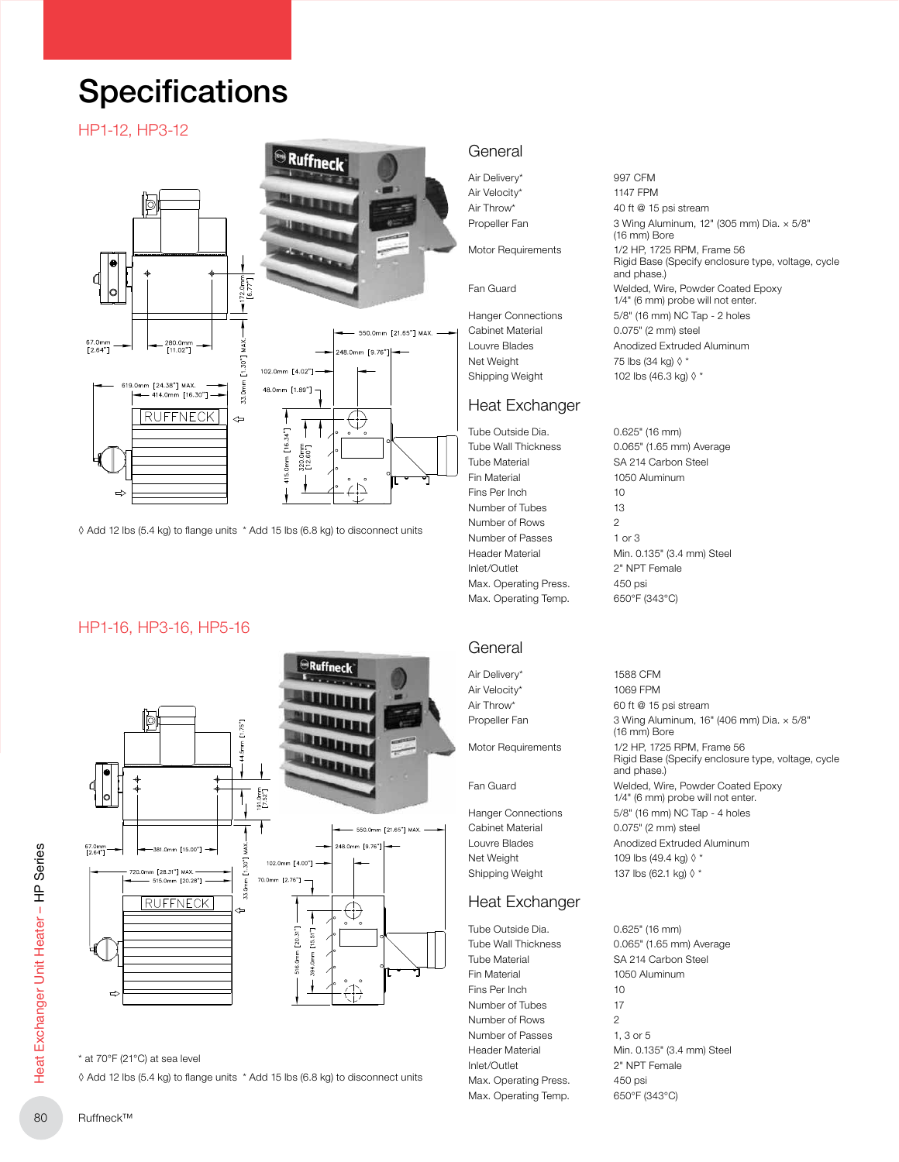## **Specifications**

#### HP1-12, HP3-12



◊ Add 12 lbs (5.4 kg) to flange units \* Add 15 lbs (6.8 kg) to disconnect units

#### HP1-16, HP3-16, HP5-16



<sup>\*</sup> at 70°F (21°C) at sea level

◊ Add 12 lbs (5.4 kg) to flange units \* Add 15 lbs (6.8 kg) to disconnect units

#### General

Air Delivery\* 997 CFM Air Velocity\* 1147 FPM

Net Weight 75 lbs (34 kg)  $\lozenge$  \* Shipping Weight  $102$  lbs (46.3 kg)  $\Diamond$  \*

#### Heat Exchanger

Tube Outside Dia. 0.625" (16 mm) Tube Material SA 214 Carbon Steel Fin Material 1050 Aluminum Fins Per Inch 10 Number of Tubes 13 Number of Rows 2 Number of Passes 1 or 3 Inlet/Outlet 2" NPT Female Max. Operating Press. 450 psi Max. Operating Temp. 650°F (343°C)

#### **General**

Air Delivery\* 1588 CFM Air Velocity\* 1069 FPM

Cabinet Material 0.075" (2 mm) steel Shipping Weight 137 lbs (62.1 kg) ◊ \*

#### Heat Exchanger

Tube Outside Dia. 6.625" (16 mm) Tube Material SA 214 Carbon Steel Fin Material 1050 Aluminum Fins Per Inch 10 Number of Tubes 17 Number of Rows 2 Number of Passes 1, 3 or 5 Inlet/Outlet 2" NPT Female Max. Operating Press. 450 psi Max. Operating Temp. 650°F (343°C)

Air Throw\* 40 ft @ 15 psi stream Propeller Fan 3 Wing Aluminum, 12" (305 mm) Dia. × 5/8" (16 mm) Bore Motor Requirements 1/2 HP, 1725 RPM, Frame 56 Rigid Base (Specify enclosure type, voltage, cycle and phase.) Fan Guard Welded, Wire, Powder Coated Epoxy 1/4" (6 mm) probe will not enter. Hanger Connections 5/8" (16 mm) NC Tap - 2 holes Cabinet Material 0.075" (2 mm) steel Louvre Blades **Anodized Extruded Aluminum** 

Tube Wall Thickness 0.065" (1.65 mm) Average Header Material Min. 0.135" (3.4 mm) Steel

Air Throw\* 60 ft @ 15 psi stream Propeller Fan 3 Wing Aluminum, 16" (406 mm) Dia. × 5/8" (16 mm) Bore Motor Requirements 1/2 HP, 1725 RPM, Frame 56 Rigid Base (Specify enclosure type, voltage, cycle and phase.) Fan Guard Welded, Wire, Powder Coated Epoxy 1/4" (6 mm) probe will not enter. Hanger Connections 5/8" (16 mm) NC Tap - 4 holes Louvre Blades **Anodized Extruded Aluminum** Net Weight 109 lbs (49.4 kg)  $\lozenge$  \*

Tube Wall Thickness 0.065" (1.65 mm) Average Header Material Min. 0.135" (3.4 mm) Steel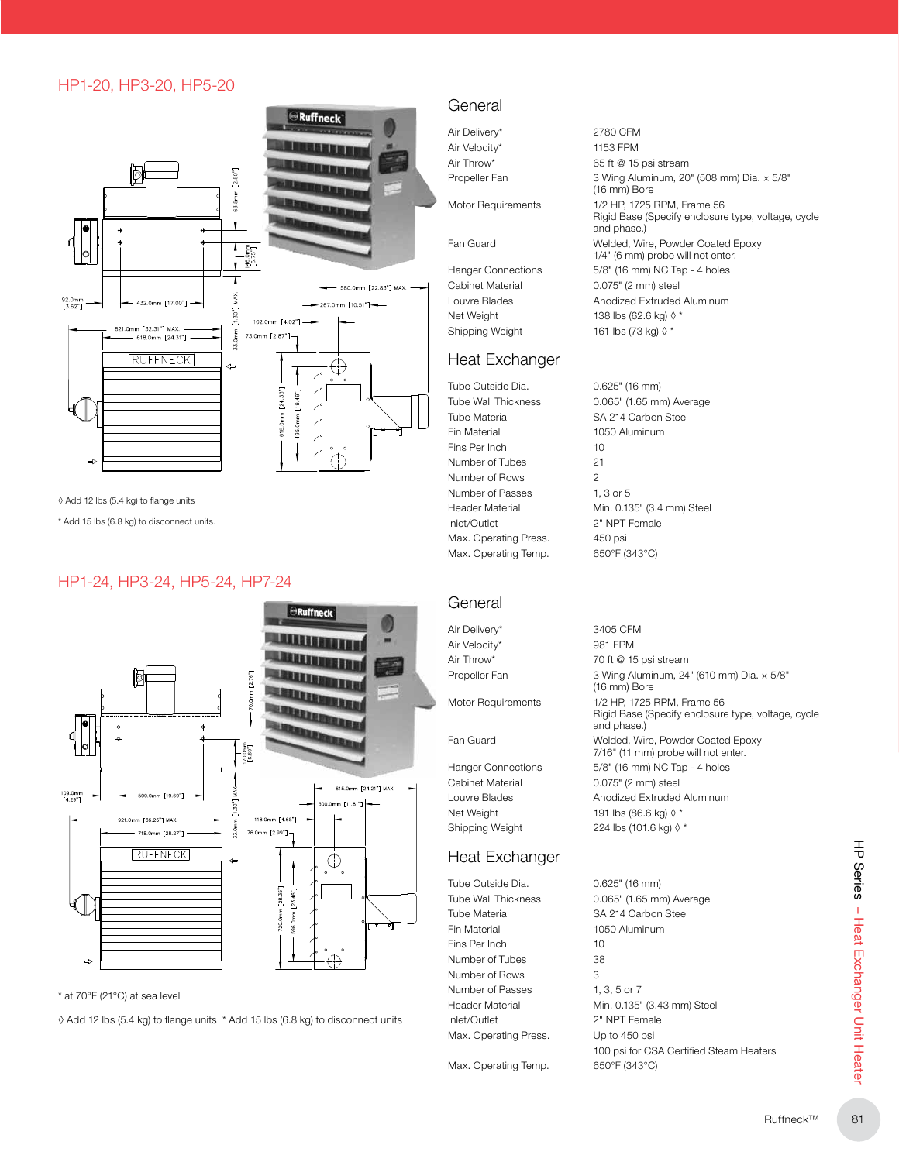#### HP1-20, HP3-20, HP5-20



◊ Add 12 lbs (5.4 kg) to flange units

\* Add 15 lbs (6.8 kg) to disconnect units.

#### HP1-24, HP3-24, HP5-24, HP7-24



\* at 70°F (21°C) at sea level

◊ Add 12 lbs (5.4 kg) to flange units \* Add 15 lbs (6.8 kg) to disconnect units

#### General

Air Delivery\* 2780 CFM Air Velocity\* 1153 FPM

Cabinet Material 0.075" (2 mm) steel Net Weight 138 lbs (62.6 kg) ◊ \* Shipping Weight 161 lbs (73 kg) ◊ \*

#### Heat Exchanger

Tube Outside Dia. 0.625" (16 mm) Tube Material SA 214 Carbon Steel Fin Material 1050 Aluminum Fins Per Inch 10 Number of Tubes 21 Number of Rows 2 Number of Passes 1, 3 or 5 Inlet/Outlet 2" NPT Female Max. Operating Press. 450 psi Max. Operating Temp. 650°F (343°C)

Air Throw\* 65 ft @ 15 psi stream Propeller Fan 3 Wing Aluminum, 20" (508 mm) Dia. × 5/8" (16 mm) Bore Motor Requirements 1/2 HP, 1725 RPM, Frame 56 Rigid Base (Specify enclosure type, voltage, cycle and phase.) Fan Guard Welded, Wire, Powder Coated Epoxy 1/4" (6 mm) probe will not enter. Hanger Connections 5/8" (16 mm) NC Tap - 4 holes Louvre Blades **Anodized Extruded Aluminum** 

Tube Wall Thickness **0.065"** (1.65 mm) Average Header Material Min. 0.135" (3.4 mm) Steel

#### **General**

Air Delivery\* 3405 CFM Air Velocity\* 981 FPM

Cabinet Material 0.075" (2 mm) steel Net Weight 191 lbs (86.6 kg)  $\lozenge$  \* Shipping Weight 224 lbs (101.6 kg) ♦ \*

#### Heat Exchanger

Tube Outside Dia. 0.625" (16 mm) Fin Material 1050 Aluminum Fins Per Inch 10 Number of Tubes 38 Number of Rows 3 Number of Passes 1, 3, 5 or 7 Inlet/Outlet 2" NPT Female Max. Operating Press. Up to 450 psi

Max. Operating Temp. 650°F (343°C)

Air Throw\* 70 ft @ 15 psi stream Propeller Fan 3 Wing Aluminum, 24" (610 mm) Dia. × 5/8" (16 mm) Bore Motor Requirements 1/2 HP, 1725 RPM, Frame 56 Rigid Base (Specify enclosure type, voltage, cycle and phase.) Fan Guard Welded, Wire, Powder Coated Epoxy 7/16" (11 mm) probe will not enter. Hanger Connections 5/8" (16 mm) NC Tap - 4 holes Louvre Blades **Anodized Extruded Aluminum** 

Tube Wall Thickness 0.065" (1.65 mm) Average Tube Material SA 214 Carbon Steel Header Material Min. 0.135" (3.43 mm) Steel 100 psi for CSA Certified Steam Heaters